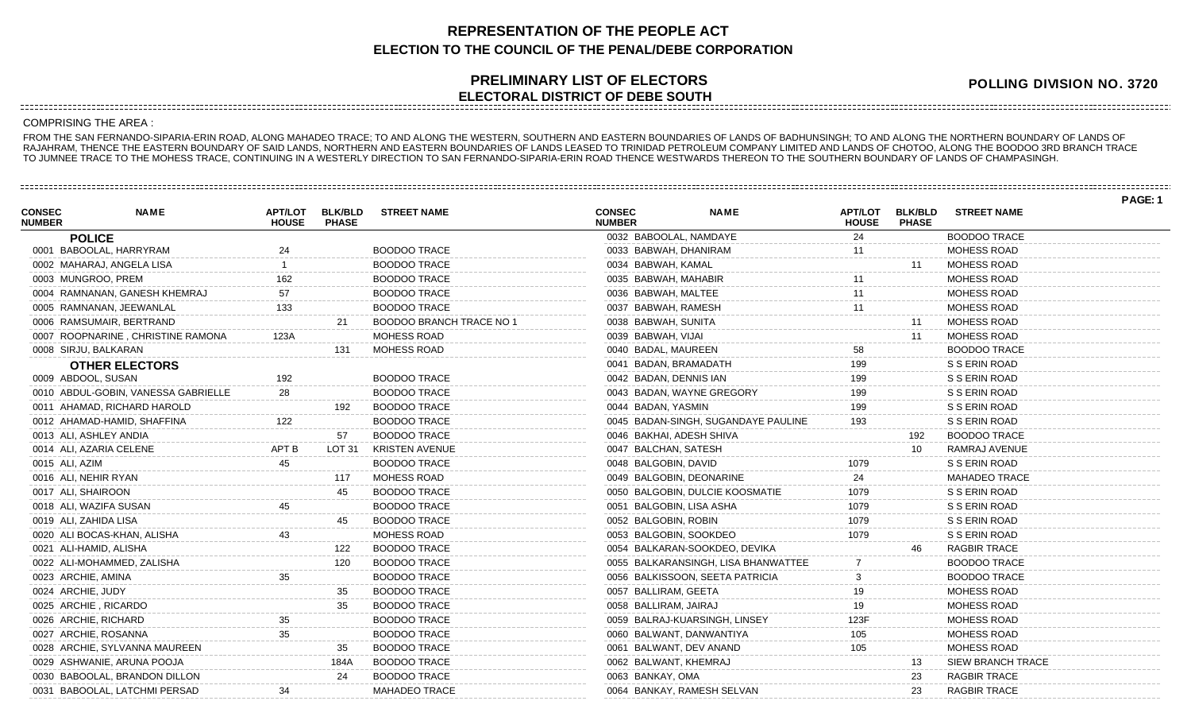## **REPRESENTATION OF THE PEOPLE ACT ELECTION TO THE COUNCIL OF THE PENAL/DEBE CORPORATION**

## **PRELIMINARY LIST OF ELECTORS ELECTORAL DISTRICT OF DEBE SOUTH**

**POLLING DIVISION NO. 3720**

**PAGE: 1**

## COMPRISING THE AREA :

FROM THE SAN FERNANDO-SIPARIA-ERIN ROAD, ALONG MAHADEO TRACE; TO AND ALONG THE WESTERN, SOUTHERN AND EASTERN BOUNDARIES OF LANDS OF BADHUNSINGH; TO AND ALONG THE NORTHERN BOUNDARY OF LANDS OF RAJAHRAM, THENCE THE EASTERN BOUNDARY OF SAID LANDS, NORTHERN AND EASTERN BOUNDARIES OF LANDS LEASED TO TRINIDAD PETROLEUM COMPANY LIMITED AND LANDS OF CHOTOO, ALONG THE BOODOO 3RD BRANCH TRACE TO JUMNEE TRACE TO THE MOHESS TRACE, CONTINUING IN A WESTERLY DIRECTION TO SAN FERNANDO-SIPARIA-ERIN ROAD THENCE WESTWARDS THEREON TO THE SOUTHERN BOUNDARY OF LANDS OF CHAMPASINGH.

| <b>CONSEC</b><br><b>NUMBER</b> | <b>NAME</b>                         | <b>HOUSE</b> | APT/LOT BLK/BLD<br><b>PHASE</b> | <b>STREET NAME</b>       | <b>CONSEC</b><br><b>NUMBER</b> | <b>NAME</b>                         | <b>APT/LOT</b><br><b>HOUSE</b> | <b>BLK/BLD</b><br><b>PHASE</b> | <b>STREET NAME</b>       |  |
|--------------------------------|-------------------------------------|--------------|---------------------------------|--------------------------|--------------------------------|-------------------------------------|--------------------------------|--------------------------------|--------------------------|--|
|                                | <b>POLICE</b>                       |              |                                 |                          | 0032 BABOOLAL, NAMDAYE         |                                     | 24                             |                                | <b>BOODOO TRACE</b>      |  |
|                                | 0001 BABOOLAL, HARRYRAM             |              |                                 | <b>BOODOO TRACE</b>      | 0033 BABWAH, DHANIRAM          |                                     |                                |                                | MOHESS ROAD              |  |
|                                | 0002 MAHARAJ, ANGELA LISA           |              |                                 | <b>BOODOO TRACE</b>      | 0034 BABWAH, KAMAL             |                                     |                                | 11                             | MOHESS ROAD              |  |
|                                | 0003 MUNGROO, PREM                  | 162          |                                 | <b>BOODOO TRACE</b>      | 0035 BABWAH, MAHABIR           |                                     |                                |                                | MOHESS ROAD              |  |
|                                | 0004 RAMNANAN, GANESH KHEMRAJ       | 57           |                                 | <b>BOODOO TRACE</b>      | 0036 BABWAH, MALTEE            |                                     | 11                             |                                | MOHESS ROAD              |  |
|                                | 0005 RAMNANAN, JEEWANLAL            | 133          |                                 | <b>BOODOO TRACE</b>      | 0037 BABWAH, RAMESH            |                                     | 11                             |                                | MOHESS ROAD              |  |
|                                | 0006 RAMSUMAIR, BERTRAND            |              | 21                              | BOODOO BRANCH TRACE NO 1 | 0038 BABWAH, SUNITA            |                                     |                                | 11                             | MOHESS ROAD              |  |
|                                | 0007 ROOPNARINE, CHRISTINE RAMONA   | 123A         |                                 | MOHESS ROAD              | 0039 BABWAH, VIJAI             |                                     |                                | 11                             | MOHESS ROAD              |  |
|                                | 0008 SIRJU, BALKARAN                |              | 131                             | MOHESS ROAD              | 0040 BADAL, MAUREEN            |                                     | 58                             |                                | <b>BOODOO TRACE</b>      |  |
|                                | <b>OTHER ELECTORS</b>               |              |                                 |                          | 0041 BADAN, BRAMADATH          |                                     | 199                            |                                | S S ERIN ROAD            |  |
|                                | 0009 ABDOOL, SUSAN                  | 192          |                                 | <b>BOODOO TRACE</b>      | 0042 BADAN, DENNIS IAN         |                                     | 199                            |                                | S S ERIN ROAD            |  |
|                                | 0010 ABDUL-GOBIN, VANESSA GABRIELLE | 28           |                                 | <b>BOODOO TRACE</b>      | 0043 BADAN, WAYNE GREGORY      |                                     | 199                            |                                | S S ERIN ROAD            |  |
|                                | 0011 AHAMAD, RICHARD HAROLD         |              | 192                             | <b>BOODOO TRACE</b>      | 0044 BADAN, YASMIN             |                                     | 199                            |                                | S S ERIN ROAD            |  |
|                                | 0012 AHAMAD-HAMID, SHAFFINA         | 122          |                                 | <b>BOODOO TRACE</b>      |                                | 0045 BADAN-SINGH, SUGANDAYE PAULINE | 193                            |                                | S S ERIN ROAD            |  |
|                                | 0013 ALI, ASHLEY ANDIA              |              | 57                              | <b>BOODOO TRACE</b>      | 0046 BAKHAI, ADESH SHIVA       |                                     |                                | 192                            | <b>BOODOO TRACE</b>      |  |
|                                | 0014 ALI, AZARIA CELENE             | APT B        | LOT 31                          | <b>KRISTEN AVENUE</b>    | 0047 BALCHAN, SATESH           |                                     |                                | 10 <sup>1</sup>                | RAMRAJ AVENUE            |  |
|                                | 0015 ALI, AZIM                      | 45           |                                 | <b>BOODOO TRACE</b>      | 0048 BALGOBIN, DAVID           |                                     | 1079                           |                                | S S ERIN ROAD            |  |
|                                | 0016 ALI, NEHIR RYAN                |              | 117                             | MOHESS ROAD              | 0049 BALGOBIN, DEONARINE       |                                     | 24                             |                                | <b>MAHADEO TRACE</b>     |  |
|                                | 0017 ALI, SHAIROON                  |              | 45                              | <b>BOODOO TRACE</b>      |                                | 0050 BALGOBIN, DULCIE KOOSMATIE     | 1079                           |                                | S S ERIN ROAD            |  |
|                                | 0018 ALI, WAZIFA SUSAN              |              |                                 | <b>BOODOO TRACE</b>      | 0051 BALGOBIN, LISA ASHA       |                                     | 1079                           |                                | S S ERIN ROAD            |  |
|                                | 0019 ALI, ZAHIDA LISA               |              | 45                              | <b>BOODOO TRACE</b>      | 0052 BALGOBIN, ROBIN           |                                     | 1079                           |                                | S S ERIN ROAD            |  |
|                                | 0020 ALI BOCAS-KHAN, ALISHA         |              |                                 | MOHESS ROAD              | 0053 BALGOBIN, SOOKDEO         |                                     | 1079                           |                                | S S ERIN ROAD            |  |
|                                | 0021 ALI-HAMID, ALISHA              |              | 122                             | <b>BOODOO TRACE</b>      |                                | 0054 BALKARAN-SOOKDEO, DEVIKA       |                                | 46                             | <b>RAGBIR TRACE</b>      |  |
|                                | 0022 ALI-MOHAMMED, ZALISHA          |              | 120                             | <b>BOODOO TRACE</b>      |                                | 0055 BALKARANSINGH, LISA BHANWATTEE |                                |                                | <b>BOODOO TRACE</b>      |  |
|                                | 0023 ARCHIE, AMINA                  | 35           |                                 | <b>BOODOO TRACE</b>      |                                | 0056 BALKISSOON, SEETA PATRICIA     |                                |                                | <b>BOODOO TRACE</b>      |  |
|                                | 0024 ARCHIE, JUDY                   |              | 35                              | <b>BOODOO TRACE</b>      | 0057 BALLIRAM, GEETA           |                                     | 19                             |                                | MOHESS ROAD              |  |
|                                | 0025 ARCHIE, RICARDO                |              | 35                              | <b>BOODOO TRACE</b>      | 0058 BALLIRAM, JAIRAJ          |                                     | 19                             |                                | MOHESS ROAD              |  |
|                                | 0026 ARCHIE, RICHARD                | 35           |                                 | <b>BOODOO TRACE</b>      |                                | 0059 BALRAJ-KUARSINGH, LINSEY       | 123F                           |                                | MOHESS ROAD              |  |
|                                | 0027 ARCHIE, ROSANNA                |              |                                 | <b>BOODOO TRACE</b>      | 0060 BALWANT, DANWANTIYA       |                                     | 105                            |                                | MOHESS ROAD              |  |
|                                | 0028 ARCHIE, SYLVANNA MAUREEN       |              | 35                              | <b>BOODOO TRACE</b>      | 0061 BALWANT, DEV ANAND        |                                     | 105                            |                                | <b>MOHESS ROAD</b>       |  |
|                                | 0029 ASHWANIE, ARUNA POOJA          |              | 184A                            | <b>BOODOO TRACE</b>      | 0062 BALWANT, KHEMRAJ          |                                     |                                | 13                             | <b>SIEW BRANCH TRACE</b> |  |
|                                | 0030 BABOOLAL, BRANDON DILLON       |              | 24                              | <b>BOODOO TRACE</b>      | 0063 BANKAY, OMA               |                                     |                                | 23                             | <b>RAGBIR TRACE</b>      |  |
|                                | 0031 BABOOLAL, LATCHMI PERSAD       |              |                                 | <b>MAHADEO TRACE</b>     | 0064 BANKAY, RAMESH SELVAN     |                                     |                                | 23                             | <b>RAGBIR TRACE</b>      |  |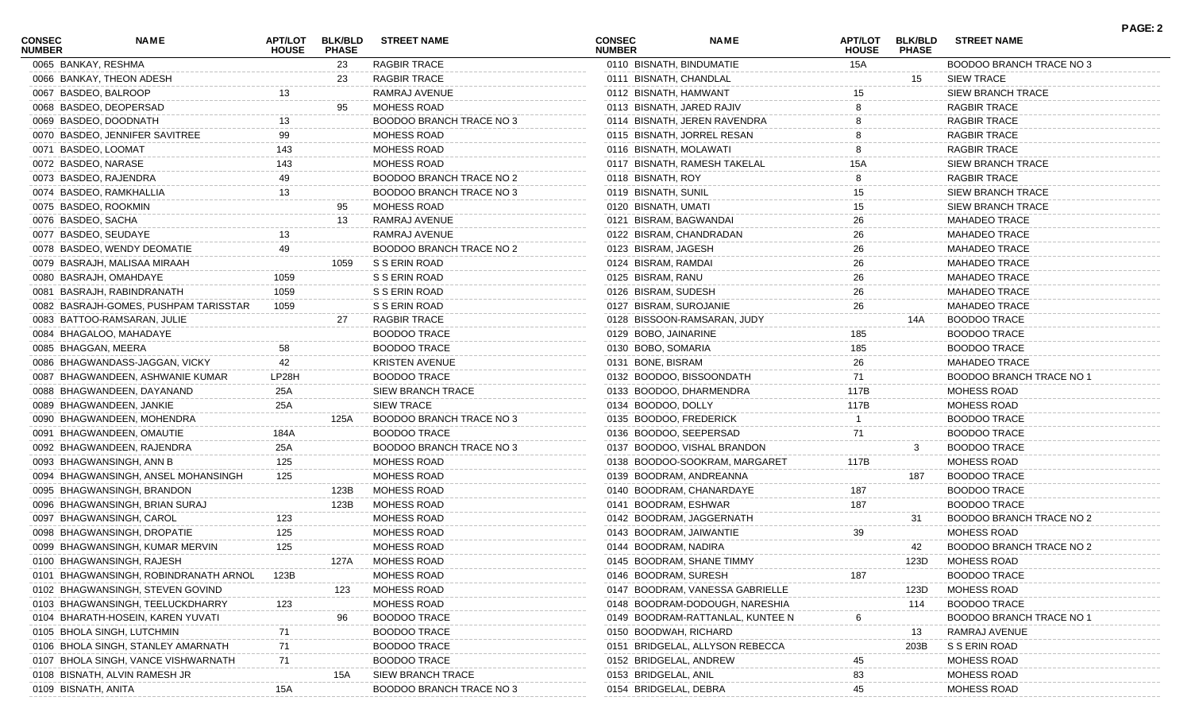| <b>CONSEC</b><br><b>NUMBER</b> | NAME                                  | APT/LOT<br><b>HOUSE</b> | <b>BLK/BLD</b><br><b>PHASE</b> | <b>STREET NAME</b>       | <b>CONSEC</b><br><b>NUMBER</b> | <b>NAME</b>                      | <b>APT/LOT</b><br><b>HOUSE</b> | <b>BLK/BLD</b><br><b>PHASE</b> | <b>STREET NAME</b>              | <b>PAGE: 2</b> |
|--------------------------------|---------------------------------------|-------------------------|--------------------------------|--------------------------|--------------------------------|----------------------------------|--------------------------------|--------------------------------|---------------------------------|----------------|
| 0065 BANKAY, RESHMA            |                                       |                         | 23                             | RAGBIR TRACE             | 0110 BISNATH, BINDUMATIE       |                                  | 15A                            |                                | BOODOO BRANCH TRACE NO 3        |                |
|                                | 0066 BANKAY, THEON ADESH              |                         | 23                             | <b>RAGBIR TRACE</b>      | 0111 BISNATH, CHANDLAL         |                                  |                                | 15                             | <b>SIEW TRACE</b>               |                |
| 0067 BASDEO, BALROOP           |                                       |                         |                                | RAMRAJ AVENUE            | 0112 BISNATH, HAMWANT          |                                  |                                |                                | SIEW BRANCH TRACE               |                |
|                                | 0068 BASDEO, DEOPERSAD                |                         | 95                             | MOHESS ROAD              | 0113 BISNATH, JARED RAJIV      |                                  |                                |                                | RAGBIR TRACE                    |                |
|                                | 0069 BASDEO, DOODNATH                 |                         |                                | BOODOO BRANCH TRACE NO 3 |                                | 0114 BISNATH, JEREN RAVENDRA     |                                |                                | RAGBIR TRACE                    |                |
|                                | 0070 BASDEO, JENNIFER SAVITREE        | 99                      |                                | MOHESS ROAD              |                                | 0115 BISNATH, JORREL RESAN       |                                |                                | <b>RAGBIR TRACE</b>             |                |
| 0071 BASDEO, LOOMAT            |                                       | 143                     |                                | MOHESS ROAD              | 0116 BISNATH, MOLAWATI         |                                  |                                |                                | <b>RAGBIR TRACE</b>             |                |
| 0072 BASDEO, NARASE            |                                       | 143                     |                                | <b>MOHESS ROAD</b>       |                                | 0117 BISNATH, RAMESH TAKELAL     | 15A                            |                                | SIEW BRANCH TRACE               |                |
| 0073 BASDEO, RAJENDRA          |                                       | 49                      |                                | BOODOO BRANCH TRACE NO 2 | 0118 BISNATH, ROY              |                                  |                                |                                | <b>RAGBIR TRACE</b>             |                |
|                                | 0074 BASDEO, RAMKHALLIA               | 13                      |                                | BOODOO BRANCH TRACE NO 3 | 0119 BISNATH, SUNIL            |                                  | 15                             |                                | <b>SIEW BRANCH TRACE</b>        |                |
| 0075 BASDEO, ROOKMIN           |                                       |                         | 95                             | MOHESS ROAD              | 0120 BISNATH, UMATI            |                                  | 15                             |                                | SIEW BRANCH TRACE               |                |
| 0076 BASDEO, SACHA             |                                       |                         | 13                             | RAMRAJ AVENUE            | 0121 BISRAM, BAGWANDAI         |                                  | 26                             |                                | <b>MAHADEO TRACE</b>            |                |
| 0077 BASDEO, SEUDAYE           |                                       |                         |                                | RAMRAJ AVENUE            | 0122 BISRAM, CHANDRADAN        |                                  | 26                             |                                | <b>MAHADEO TRACE</b>            |                |
|                                | 0078 BASDEO, WENDY DEOMATIE           | 49                      |                                | BOODOO BRANCH TRACE NO 2 | 0123 BISRAM, JAGESH            |                                  | 26                             |                                | <b>MAHADEO TRACE</b>            |                |
|                                | 0079 BASRAJH, MALISAA MIRAAH          |                         | 1059                           | S S ERIN ROAD            | 0124 BISRAM, RAMDAI            |                                  | 26                             |                                | <b>MAHADEO TRACE</b>            |                |
|                                | 0080 BASRAJH, OMAHDAYE                | 1059                    |                                | S S ERIN ROAD            | 0125 BISRAM, RANU              |                                  | 26                             |                                | <b>MAHADEO TRACE</b>            |                |
|                                | 0081 BASRAJH, RABINDRANATH            | 1059                    |                                | S S ERIN ROAD            | 0126 BISRAM, SUDESH            |                                  | 26                             |                                | <b>MAHADEO TRACE</b>            |                |
|                                | 0082 BASRAJH-GOMES, PUSHPAM TARISSTAR | 1059                    |                                | S S ERIN ROAD            | 0127 BISRAM, SUROJANIE         |                                  | 26                             |                                | <b>MAHADEO TRACE</b>            |                |
|                                | 0083 BATTOO-RAMSARAN, JULIE           |                         | 27                             | <b>RAGBIR TRACE</b>      |                                | 0128 BISSOON-RAMSARAN, JUDY      |                                | 14A                            | <b>BOODOO TRACE</b>             |                |
|                                | 0084 BHAGALOO, MAHADAYE               |                         |                                | <b>BOODOO TRACE</b>      | 0129 BOBO, JAINARINE           |                                  | 185                            |                                | <b>BOODOO TRACE</b>             |                |
| 0085 BHAGGAN, MEERA            |                                       | 58                      |                                | <b>BOODOO TRACE</b>      | 0130 BOBO, SOMARIA             |                                  | 185                            |                                | <b>BOODOO TRACE</b>             |                |
|                                | 0086 BHAGWANDASS-JAGGAN, VICKY        | 42                      |                                | KRISTEN AVENUE           | 0131 BONE, BISRAM              |                                  | 26                             |                                | <b>MAHADEO TRACE</b>            |                |
|                                | 0087 BHAGWANDEEN, ASHWANIE KUMAR      | LP28H                   |                                | <b>BOODOO TRACE</b>      | 0132 BOODOO, BISSOONDATH       |                                  | 71                             |                                | <b>BOODOO BRANCH TRACE NO 1</b> |                |
|                                | 0088 BHAGWANDEEN, DAYANAND            | 25A                     |                                | SIEW BRANCH TRACE        | 0133 BOODOO, DHARMENDRA        |                                  | 117B                           |                                | <b>MOHESS ROAD</b>              |                |
|                                | 0089 BHAGWANDEEN, JANKIE              | 25A                     |                                | <b>SIEW TRACE</b>        | 0134 BOODOO, DOLLY             |                                  | 117B                           |                                | <b>MOHESS ROAD</b>              |                |
|                                | 0090 BHAGWANDEEN, MOHENDRA            |                         | 125A                           | BOODOO BRANCH TRACE NO 3 | 0135 BOODOO, FREDERICK         |                                  |                                |                                | <b>BOODOO TRACE</b>             |                |
|                                | 0091 BHAGWANDEEN, OMAUTIE             | 184A                    |                                | <b>BOODOO TRACE</b>      | 0136 BOODOO, SEEPERSAD         |                                  | 71                             |                                | <b>BOODOO TRACE</b>             |                |
|                                | 0092 BHAGWANDEEN, RAJENDRA            | 25A                     |                                | BOODOO BRANCH TRACE NO 3 |                                | 0137 BOODOO, VISHAL BRANDON      |                                |                                | <b>BOODOO TRACE</b>             |                |
|                                | 0093 BHAGWANSINGH, ANN B              | 125                     |                                | MOHESS ROAD              |                                | 0138 BOODOO-SOOKRAM, MARGARET    | 117B                           |                                | MOHESS ROAD                     |                |
|                                | 0094 BHAGWANSINGH, ANSEL MOHANSINGH   | 125                     |                                | MOHESS ROAD              | 0139 BOODRAM, ANDREANNA        |                                  |                                | 187                            | <b>BOODOO TRACE</b>             |                |
|                                | 0095 BHAGWANSINGH, BRANDON            |                         | 123B                           | MOHESS ROAD              |                                | 0140 BOODRAM, CHANARDAYE         | 187                            |                                | <b>BOODOO TRACE</b>             |                |
|                                | 0096 BHAGWANSINGH, BRIAN SURAJ        |                         | 123B                           | MOHESS ROAD              | 0141 BOODRAM, ESHWAR           |                                  | 187                            |                                | <b>BOODOO TRACE</b>             |                |
|                                | 0097 BHAGWANSINGH, CAROL              | 123                     |                                | MOHESS ROAD              |                                | 0142 BOODRAM, JAGGERNATH         |                                | 31                             | BOODOO BRANCH TRACE NO 2        |                |
|                                | 0098 BHAGWANSINGH, DROPATIE           | 125                     |                                | MOHESS ROAD              | 0143 BOODRAM, JAIWANTIE        |                                  | 39                             |                                | MOHESS ROAD                     |                |
|                                | 0099 BHAGWANSINGH, KUMAR MERVIN       | 125                     |                                | <b>MOHESS ROAD</b>       | 0144 BOODRAM, NADIRA           |                                  |                                | 42                             | BOODOO BRANCH TRACE NO 2        |                |
|                                | 0100 BHAGWANSINGH, RAJESH             |                         | 127A                           | MOHESS ROAD              |                                | 0145 BOODRAM, SHANE TIMMY        |                                | 123D                           | MOHESS ROAD                     |                |
|                                | 0101 BHAGWANSINGH, ROBINDRANATH ARNOL | 123B                    |                                | MOHESS ROAD              | 0146 BOODRAM, SURESH           |                                  | 187                            |                                | <b>BOODOO TRACE</b>             |                |
|                                | 0102 BHAGWANSINGH, STEVEN GOVIND      |                         | 123                            | MOHESS ROAD              |                                | 0147 BOODRAM, VANESSA GABRIELLE  |                                | 123D                           | MOHESS ROAD                     |                |
|                                | 0103 BHAGWANSINGH, TEELUCKDHARRY      | 123                     |                                | MOHESS ROAD              |                                | 0148 BOODRAM-DODOUGH, NARESHIA   |                                | 114                            | <b>BOODOO TRACE</b>             |                |
|                                | 0104 BHARATH-HOSEIN, KAREN YUVATI     |                         | 96                             | <b>BOODOO TRACE</b>      |                                | 0149 BOODRAM-RATTANLAL, KUNTEE N |                                |                                | <b>BOODOO BRANCH TRACE NO</b>   |                |
|                                | 0105 BHOLA SINGH, LUTCHMIN            | 71                      |                                | <b>BOODOO TRACE</b>      | 0150 BOODWAH, RICHARD          |                                  |                                |                                | RAMRAJ AVENUE                   |                |
|                                | 0106 BHOLA SINGH, STANLEY AMARNATH    | 71                      |                                | <b>BOODOO TRACE</b>      |                                | 0151 BRIDGELAL, ALLYSON REBECCA  |                                | 13<br>203B                     | S S ERIN ROAD                   |                |
|                                | 0107 BHOLA SINGH, VANCE VISHWARNATH   | 71                      |                                | <b>BOODOO TRACE</b>      | 0152 BRIDGELAL, ANDREW         |                                  | 45                             |                                | MOHESS ROAD                     |                |
|                                | 0108 BISNATH, ALVIN RAMESH JR         |                         | 15A                            | <b>SIEW BRANCH TRACE</b> | 0153 BRIDGELAL, ANIL           |                                  | 83                             |                                | MOHESS ROAD                     |                |
| 0109 BISNATH, ANITA            |                                       |                         |                                |                          | 0154 BRIDGELAL, DEBRA          |                                  |                                |                                |                                 |                |
|                                |                                       | 15A                     |                                | BOODOO BRANCH TRACE NO 3 |                                |                                  | 45                             |                                | MOHESS ROAD                     |                |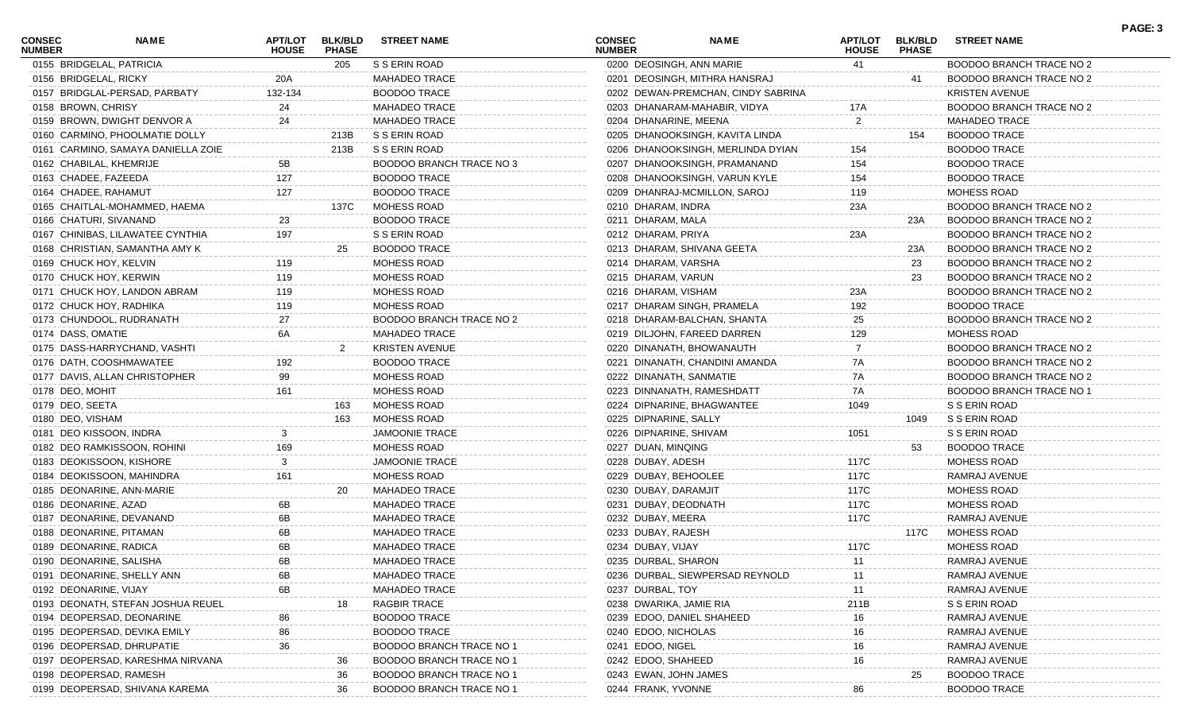| <b>CONSEC</b><br><b>NUMBER</b> | <b>NAME</b>                        | <b>HOUSE</b> | APT/LOT BLK/BLD<br><b>PHASE</b> | <b>STREET NAME</b>              | <b>CONSEC</b><br><b>NUMBER</b> | <b>NAME</b>                        | <b>HOUSE</b> | APT/LOT BLK/BLD<br><b>PHASE</b> | <b>STREET NAME</b>       |  |
|--------------------------------|------------------------------------|--------------|---------------------------------|---------------------------------|--------------------------------|------------------------------------|--------------|---------------------------------|--------------------------|--|
|                                | 0155 BRIDGELAL, PATRICIA           |              | 205                             | S S ERIN ROAD                   |                                | 0200 DEOSINGH, ANN MARIE           | 41           |                                 | BOODOO BRANCH TRACE NO 2 |  |
|                                | 0156 BRIDGELAL, RICKY              | 20A          |                                 | <b>MAHADEO TRACE</b>            |                                | 0201 DEOSINGH, MITHRA HANSRAJ      |              | 41                              | BOODOO BRANCH TRACE NO 2 |  |
|                                | 0157 BRIDGLAL-PERSAD, PARBATY      | 132-134      |                                 | <b>BOODOO TRACE</b>             |                                | 0202 DEWAN-PREMCHAN, CINDY SABRINA |              |                                 | <b>KRISTEN AVENUE</b>    |  |
|                                | 0158 BROWN, CHRISY                 | 24           |                                 | MAHADEO TRACE                   |                                | 0203 DHANARAM-MAHABIR, VIDYA       | 17A          |                                 | BOODOO BRANCH TRACE NO 2 |  |
|                                | 0159 BROWN, DWIGHT DENVOR A        | 24           |                                 | <b>MAHADEO TRACE</b>            |                                | 0204 DHANARINE, MEENA              | 2            |                                 | <b>MAHADEO TRACE</b>     |  |
|                                | 0160 CARMINO, PHOOLMATIE DOLLY     |              | 213B                            | S S ERIN ROAD                   |                                | 0205 DHANOOKSINGH, KAVITA LINDA    |              | 154                             | <b>BOODOO TRACE</b>      |  |
|                                | 0161 CARMINO, SAMAYA DANIELLA ZOIE |              | 213B                            | S S ERIN ROAD                   |                                | 0206 DHANOOKSINGH, MERLINDA DYIAN  | 154          |                                 | <b>BOODOO TRACE</b>      |  |
|                                | 0162 CHABILAL, KHEMRIJE            | 5B           |                                 | BOODOO BRANCH TRACE NO 3        |                                | 0207 DHANOOKSINGH, PRAMANAND       | 154          |                                 | <b>BOODOO TRACE</b>      |  |
|                                | 0163 CHADEE, FAZEEDA               | 127          |                                 | <b>BOODOO TRACE</b>             |                                | 0208 DHANOOKSINGH, VARUN KYLE      | 154          |                                 | <b>BOODOO TRACE</b>      |  |
|                                | 0164 CHADEE, RAHAMUT               | 127          |                                 | <b>BOODOO TRACE</b>             |                                | 0209 DHANRAJ-MCMILLON, SAROJ       | 119          |                                 | MOHESS ROAD              |  |
|                                | 0165 CHAITLAL-MOHAMMED, HAEMA      |              | 137C                            | MOHESS ROAD                     |                                | 0210 DHARAM, INDRA                 | 23A          |                                 | BOODOO BRANCH TRACE NO 2 |  |
|                                | 0166 CHATURI, SIVANAND             | 23           |                                 | <b>BOODOO TRACE</b>             |                                | 0211 DHARAM, MALA                  |              | 23A                             | BOODOO BRANCH TRACE NO 2 |  |
|                                | 0167 CHINIBAS, LILAWATEE CYNTHIA   | 197          |                                 | S S ERIN ROAD                   |                                | 0212 DHARAM, PRIYA                 | 23A          |                                 | BOODOO BRANCH TRACE NO 2 |  |
|                                | 0168 CHRISTIAN, SAMANTHA AMY K     |              | 25                              | <b>BOODOO TRACE</b>             |                                | 0213 DHARAM, SHIVANA GEETA         |              | 23A                             | BOODOO BRANCH TRACE NO 2 |  |
|                                | 0169 CHUCK HOY, KELVIN             | 119          |                                 | MOHESS ROAD                     |                                | 0214 DHARAM, VARSHA                |              | -23                             | BOODOO BRANCH TRACE NO 2 |  |
|                                | 0170 CHUCK HOY, KERWIN             | 119          |                                 | MOHESS ROAD                     |                                | 0215 DHARAM, VARUN                 |              | -23                             | BOODOO BRANCH TRACE NO 2 |  |
|                                | 0171 CHUCK HOY, LANDON ABRAM       | 119          |                                 | MOHESS ROAD                     |                                | 0216 DHARAM, VISHAM                | 23A          |                                 | BOODOO BRANCH TRACE NO 2 |  |
|                                | 0172 CHUCK HOY, RADHIKA            | 119          |                                 | MOHESS ROAD                     |                                | 0217 DHARAM SINGH, PRAMELA         | 192          |                                 | <b>BOODOO TRACE</b>      |  |
|                                | 0173 CHUNDOOL, RUDRANATH           | 27           |                                 | <b>BOODOO BRANCH TRACE NO 2</b> |                                | 0218 DHARAM-BALCHAN, SHANTA        | 25           |                                 | BOODOO BRANCH TRACE NO 2 |  |
|                                | 0174 DASS, OMATIE                  | 6A           |                                 | MAHADEO TRACE                   |                                | 0219 DILJOHN, FAREED DARREN        | 129          |                                 | MOHESS ROAD              |  |
|                                | 0175 DASS-HARRYCHAND, VASHTI       |              | 2                               | <b>KRISTEN AVENUE</b>           |                                | 0220 DINANATH, BHOWANAUTH          |              |                                 | BOODOO BRANCH TRACE NO 2 |  |
|                                | 0176 DATH, COOSHMAWATEE            | 192          |                                 | <b>BOODOO TRACE</b>             |                                | 0221 DINANATH, CHANDINI AMANDA     | 7A           |                                 | BOODOO BRANCH TRACE NO 2 |  |
|                                | 0177 DAVIS, ALLAN CHRISTOPHER      | 99           |                                 | MOHESS ROAD                     |                                | 0222 DINANATH, SANMATIE            | 7A           |                                 | BOODOO BRANCH TRACE NO 2 |  |
|                                | 0178 DEO, MOHIT                    | 161          |                                 | MOHESS ROAD                     |                                | 0223 DINNANATH, RAMESHDATT         | 7A           |                                 | BOODOO BRANCH TRACE NO 1 |  |
|                                | 0179 DEO, SEETA                    |              | 163                             | MOHESS ROAD                     |                                | 0224 DIPNARINE, BHAGWANTEE         | 1049         |                                 | S S ERIN ROAD            |  |
|                                | 0180 DEO, VISHAM                   |              | 163                             | MOHESS ROAD                     |                                | 0225 DIPNARINE, SALLY              |              | 1049                            | S S ERIN ROAD            |  |
|                                | 0181 DEO KISSOON, INDRA            |              |                                 | JAMOONIE TRACE                  |                                | 0226 DIPNARINE, SHIVAM             | 1051         |                                 | S S ERIN ROAD            |  |
|                                | 0182 DEO RAMKISSOON, ROHINI        | 169          |                                 | MOHESS ROAD                     |                                | 0227 DUAN, MINQING                 |              | 53                              | <b>BOODOO TRACE</b>      |  |
|                                | 0183 DEOKISSOON, KISHORE           |              |                                 | JAMOONIE TRACE                  |                                | 0228 DUBAY, ADESH                  | 117C         |                                 | MOHESS ROAD              |  |
|                                | 0184 DEOKISSOON, MAHINDRA          | 161          |                                 | MOHESS ROAD                     |                                | 0229 DUBAY, BEHOOLEE               | 117C         |                                 | RAMRAJ AVENUE            |  |
|                                | 0185 DEONARINE, ANN-MARIE          |              | 20                              | <b>MAHADEO TRACE</b>            |                                | 0230 DUBAY, DARAMJIT               | 117C         |                                 | MOHESS ROAD              |  |
|                                | 0186 DEONARINE, AZAD               | 6B           |                                 | MAHADEO TRACE                   |                                | 0231 DUBAY, DEODNATH               | 117C         |                                 | MOHESS ROAD              |  |
|                                | 0187 DEONARINE, DEVANAND           | 6B           |                                 | MAHADEO TRACE                   |                                | 0232 DUBAY, MEERA                  | 117C         |                                 | RAMRAJ AVENUE            |  |
|                                | 0188 DEONARINE, PITAMAN            | 6В           |                                 | MAHADEO TRACE                   |                                | 0233 DUBAY, RAJESH                 |              | 117C                            | MOHESS ROAD              |  |
|                                | 0189 DEONARINE, RADICA             | 6B           |                                 | <b>MAHADEO TRACE</b>            |                                | 0234 DUBAY, VIJAY                  | 117C         |                                 | MOHESS ROAD              |  |
|                                | 0190 DEONARINE, SALISHA            |              |                                 | MAHADEO TRACE                   |                                | 0235 DURBAL, SHARON                | 11           |                                 | RAMRAJ AVENUE            |  |
|                                | 0191 DEONARINE, SHELLY ANN         |              |                                 | MAHADEO TRACE                   |                                | 0236 DURBAL, SIEWPERSAD REYNOLD    |              |                                 | RAMRAJ AVENUE            |  |
|                                | 0192 DEONARINE, VIJAY              | 6B           |                                 | <b>MAHADEO TRACE</b>            |                                | 0237 DURBAL, TOY                   |              |                                 | RAMRAJ AVENUE            |  |
|                                | 0193 DEONATH, STEFAN JOSHUA REUEL  |              |                                 | RAGBIR TRACE                    |                                | 0238 DWARIKA, JAMIE RIA            | 211B         |                                 | S S ERIN ROAD            |  |
|                                | 0194 DEOPERSAD, DEONARINE          |              |                                 | <b>BOODOO TRACE</b>             |                                | 0239 EDOO, DANIEL SHAHEED          |              |                                 | RAMRAJ AVENUE            |  |
|                                | 0195 DEOPERSAD, DEVIKA EMILY       |              |                                 | <b>BOODOO TRACE</b>             |                                | 0240 EDOO, NICHOLAS                |              |                                 | RAMRAJ AVENUE            |  |
|                                | 0196 DEOPERSAD, DHRUPATIE          | 36           |                                 | <b>BOODOO BRANCH TRACE NO</b>   |                                | 0241 EDOO, NIGEL                   |              |                                 | RAMRAJ AVENUE            |  |
|                                | 0197 DEOPERSAD, KARESHMA NIRVANA   |              | 36                              | <b>BOODOO BRANCH TRACE NO 1</b> |                                | 0242 EDOO, SHAHEED                 |              |                                 | RAMRAJ AVENUE            |  |
|                                | 0198 DEOPERSAD, RAMESH             |              | 36                              | <b>BOODOO BRANCH TRACE NO 1</b> |                                | 0243 EWAN, JOHN JAMES              |              | 25                              | <b>BOODOO TRACE</b>      |  |
|                                | 0199 DEOPERSAD, SHIVANA KAREMA     |              | 36                              | <b>BOODOO BRANCH TRACE NO 1</b> |                                | 0244 FRANK, YVONNE                 | 86           |                                 | <b>BOODOO TRACE</b>      |  |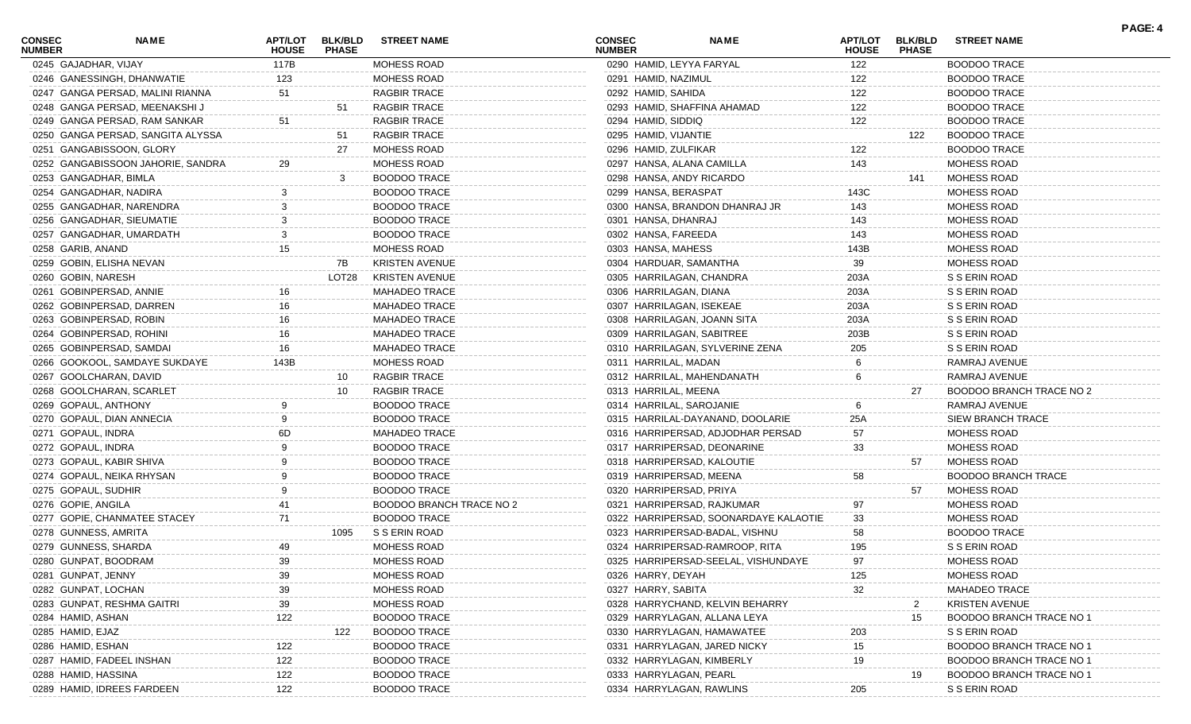| <b>CONSEC</b><br><b>NUMBER</b> | <b>NAME</b>                       | APT/LOT<br><b>HOUSE</b> | <b>BLK/BLD</b><br><b>PHASE</b> | <b>STREET NAME</b>       | <b>CONSEC</b><br><b>NUMBER</b> | <b>NAME</b>                           | <b>APT/LOT</b><br><b>HOUSE</b> | <b>BLK/BLD</b><br><b>PHASE</b> | <b>STREET NAME</b>                                               | PAGE: 4 |
|--------------------------------|-----------------------------------|-------------------------|--------------------------------|--------------------------|--------------------------------|---------------------------------------|--------------------------------|--------------------------------|------------------------------------------------------------------|---------|
| 0245 GAJADHAR, VIJAY           |                                   | 117B                    |                                | MOHESS ROAD              | 0290 HAMID, LEYYA FARYAL       |                                       | 122                            |                                | <b>BOODOO TRACE</b>                                              |         |
|                                | 0246 GANESSINGH, DHANWATIE        | 123                     |                                | <b>MOHESS ROAD</b>       | 0291 HAMID, NAZIMUL            |                                       | 122                            |                                | <b>BOODOO TRACE</b>                                              |         |
|                                | 0247 GANGA PERSAD, MALINI RIANNA  | 51                      |                                | <b>RAGBIR TRACE</b>      | 0292 HAMID, SAHIDA             |                                       | 122                            |                                | <b>BOODOO TRACE</b>                                              |         |
|                                | 0248 GANGA PERSAD, MEENAKSHI J    |                         | 51                             | <b>RAGBIR TRACE</b>      |                                | 0293 HAMID, SHAFFINA AHAMAD           | 122                            |                                | <b>BOODOO TRACE</b>                                              |         |
|                                | 0249 GANGA PERSAD, RAM SANKAR     | 51                      |                                | <b>RAGBIR TRACE</b>      | 0294 HAMID, SIDDIQ             |                                       | 122                            |                                | <b>BOODOO TRACE</b>                                              |         |
|                                | 0250 GANGA PERSAD, SANGITA ALYSSA |                         | 51                             | <b>RAGBIR TRACE</b>      | 0295 HAMID, VIJANTIE           |                                       |                                | 122                            | <b>BOODOO TRACE</b>                                              |         |
|                                | 0251 GANGABISSOON, GLORY          |                         | 27                             | MOHESS ROAD              | 0296 HAMID, ZULFIKAR           |                                       | 122                            |                                | <b>BOODOO TRACE</b>                                              |         |
|                                | 0252 GANGABISSOON JAHORIE, SANDRA | 29                      |                                | <b>MOHESS ROAD</b>       |                                | 0297 HANSA, ALANA CAMILLA             | 143                            |                                | MOHESS ROAD                                                      |         |
|                                | 0253 GANGADHAR, BIMLA             |                         |                                | <b>BOODOO TRACE</b>      |                                | 0298 HANSA, ANDY RICARDO              |                                | 141                            | MOHESS ROAD                                                      |         |
|                                | 0254 GANGADHAR, NADIRA            |                         |                                | <b>BOODOO TRACE</b>      | 0299 HANSA, BERASPAT           |                                       | 143C                           |                                | <b>MOHESS ROAD</b>                                               |         |
|                                | 0255 GANGADHAR, NARENDRA          |                         |                                | <b>BOODOO TRACE</b>      |                                | 0300 HANSA, BRANDON DHANRAJ JR        | 143                            |                                | <b>MOHESS ROAD</b>                                               |         |
|                                | 0256 GANGADHAR, SIEUMATIE         |                         |                                | <b>BOODOO TRACE</b>      | 0301 HANSA, DHANRAJ            |                                       | 143                            |                                | <b>MOHESS ROAD</b>                                               |         |
|                                | 0257 GANGADHAR, UMARDATH          |                         |                                | <b>BOODOO TRACE</b>      | 0302 HANSA, FAREEDA            |                                       | 143                            |                                | <b>MOHESS ROAD</b>                                               |         |
| 0258 GARIB, ANAND              |                                   | 15                      |                                | <b>MOHESS ROAD</b>       | 0303 HANSA, MAHESS             |                                       | 143B                           |                                | MOHESS ROAD                                                      |         |
|                                | 0259 GOBIN, ELISHA NEVAN          |                         | 7В                             | <b>KRISTEN AVENUE</b>    | 0304 HARDUAR, SAMANTHA         |                                       | 39                             |                                | <b>MOHESS ROAD</b>                                               |         |
| 0260 GOBIN, NARESH             |                                   |                         | LOT28                          | <b>KRISTEN AVENUE</b>    |                                | 0305 HARRILAGAN, CHANDRA              | 203A                           |                                | S S ERIN ROAD                                                    |         |
|                                | 0261 GOBINPERSAD, ANNIE           |                         |                                | <b>MAHADEO TRACE</b>     | 0306 HARRILAGAN, DIANA         |                                       | 203A                           |                                | S S ERIN ROAD                                                    |         |
|                                | 0262 GOBINPERSAD, DARREN          |                         |                                | <b>MAHADEO TRACE</b>     | 0307 HARRILAGAN, ISEKEAE       |                                       | 203A                           |                                | S S ERIN ROAD                                                    |         |
|                                | 0263 GOBINPERSAD, ROBIN           | 16                      |                                | <b>MAHADEO TRACE</b>     |                                | 0308 HARRILAGAN, JOANN SITA           | 203A                           |                                | S S ERIN ROAD                                                    |         |
|                                | 0264 GOBINPERSAD, ROHINI          | 16                      |                                | <b>MAHADEO TRACE</b>     |                                | 0309 HARRILAGAN, SABITREE             | 203B                           |                                | S S ERIN ROAD                                                    |         |
|                                | 0265 GOBINPERSAD, SAMDAI          | 16                      |                                | <b>MAHADEO TRACE</b>     |                                | 0310 HARRILAGAN, SYLVERINE ZENA       | 205                            |                                | S S ERIN ROAD                                                    |         |
|                                | 0266 GOOKOOL, SAMDAYE SUKDAYE     | 143B                    |                                | <b>MOHESS ROAD</b>       | 0311 HARRILAL, MADAN           |                                       |                                |                                | RAMRAJ AVENUE                                                    |         |
|                                | 0267 GOOLCHARAN, DAVID            |                         | 10                             | <b>RAGBIR TRACE</b>      |                                | 0312 HARRILAL, MAHENDANATH            |                                |                                | RAMRAJ AVENUE                                                    |         |
|                                | 0268 GOOLCHARAN, SCARLET          |                         | 10                             | <b>RAGBIR TRACE</b>      | 0313 HARRILAL, MEENA           |                                       |                                | 27                             | BOODOO BRANCH TRACE NO 2                                         |         |
| 0269 GOPAUL, ANTHONY           |                                   |                         |                                | <b>BOODOO TRACE</b>      | 0314 HARRILAL, SAROJANIE       |                                       |                                |                                | RAMRAJ AVENUE                                                    |         |
|                                | 0270 GOPAUL, DIAN ANNECIA         |                         |                                | <b>BOODOO TRACE</b>      |                                | 0315 HARRILAL-DAYANAND, DOOLARIE      | 25A                            |                                | SIEW BRANCH TRACE                                                |         |
| 0271 GOPAUL, INDRA             |                                   |                         |                                | <b>MAHADEO TRACE</b>     |                                | 0316 HARRIPERSAD, ADJODHAR PERSAD     | 57                             |                                | <b>MOHESS ROAD</b>                                               |         |
| 0272 GOPAUL, INDRA             |                                   |                         |                                | <b>BOODOO TRACE</b>      |                                | 0317 HARRIPERSAD, DEONARINE           | 33                             |                                | MOHESS ROAD                                                      |         |
|                                | 0273 GOPAUL, KABIR SHIVA          |                         |                                | <b>BOODOO TRACE</b>      |                                | 0318 HARRIPERSAD, KALOUTIE            |                                | 57                             | MOHESS ROAD                                                      |         |
|                                | 0274 GOPAUL, NEIKA RHYSAN         |                         |                                | <b>BOODOO TRACE</b>      | 0319 HARRIPERSAD, MEENA        |                                       | 58                             |                                | <b>BOODOO BRANCH TRACE</b>                                       |         |
| 0275 GOPAUL, SUDHIR            |                                   |                         |                                | <b>BOODOO TRACE</b>      | 0320 HARRIPERSAD, PRIYA        |                                       |                                | 57                             | MOHESS ROAD                                                      |         |
| 0276 GOPIE, ANGILA             |                                   |                         |                                | BOODOO BRANCH TRACE NO 2 |                                | 0321 HARRIPERSAD, RAJKUMAR            | 97                             |                                | <b>MOHESS ROAD</b>                                               |         |
|                                | 0277 GOPIE, CHANMATEE STACEY      | 71                      |                                | <b>BOODOO TRACE</b>      |                                | 0322 HARRIPERSAD, SOONARDAYE KALAOTIE | 33                             |                                | <b>MOHESS ROAD</b>                                               |         |
| 0278 GUNNESS, AMRITA           |                                   |                         | 1095                           | S S ERIN ROAD            |                                | 0323 HARRIPERSAD-BADAL, VISHNU        | 58                             |                                | <b>BOODOO TRACE</b>                                              |         |
|                                | 0279 GUNNESS, SHARDA              | 49                      |                                | <b>MOHESS ROAD</b>       |                                | 0324 HARRIPERSAD-RAMROOP, RITA        | 195                            |                                | S S ERIN ROAD                                                    |         |
|                                | 0280 GUNPAT, BOODRAM              | 39                      |                                | MOHESS ROAD              |                                | 0325 HARRIPERSAD-SEELAL, VISHUNDAYE   | 97                             |                                | MOHESS ROAD                                                      |         |
| 0281 GUNPAT, JENNY             |                                   |                         |                                | MOHESS ROAD              | 0326 HARRY, DEYAH              |                                       | 125                            |                                | MOHESS ROAD                                                      |         |
| 0282 GUNPAT, LOCHAN            |                                   | 39                      |                                | MOHESS ROAD              | 0327 HARRY, SABITA             |                                       | 32                             |                                | <b>MAHADEO TRACE</b>                                             |         |
|                                | 0283 GUNPAT, RESHMA GAITR         | 39                      |                                | MOHESS ROAD              |                                | 0328 HARRYCHAND, KELVIN BEHARRY       |                                | 2                              | <b>KRISTEN AVENUE</b>                                            |         |
| 0284 HAMID, ASHAN              |                                   |                         |                                | <b>BOODOO TRACE</b>      |                                | 0329 HARRYLAGAN, ALLANA LEYA          |                                |                                | BOODOO BRANCH TRACE NO                                           |         |
| 0285 HAMID, EJAZ               |                                   | 122                     | 122                            | <b>BOODOO TRACE</b>      |                                | 0330 HARRYLAGAN, HAMAWATEE            | 203                            | 15                             | S S ERIN ROAD                                                    |         |
| 0286 HAMID, ESHAN              |                                   |                         |                                | <b>BOODOO TRACE</b>      |                                | 0331 HARRYLAGAN, JARED NICKY          |                                |                                | <b>BOODOO BRANCH TRACE NO</b>                                    |         |
|                                |                                   | 122                     |                                | <b>BOODOO TRACE</b>      |                                | 0332 HARRYLAGAN, KIMBERLY             | 15                             |                                |                                                                  |         |
| 0288 HAMID, HASSINA            | 0287 HAMID, FADEEL INSHAN         | 122                     |                                | <b>BOODOO TRACE</b>      |                                |                                       | 19                             |                                | <b>BOODOO BRANCH TRACE NO</b><br><b>BOODOO BRANCH TRACE NO *</b> |         |
|                                |                                   | 122                     |                                |                          | 0333 HARRYLAGAN, PEARL         |                                       |                                | 19                             |                                                                  |         |
|                                | 0289 HAMID, IDREES FARDEEN        | 122                     |                                | <b>BOODOO TRACE</b>      |                                | 0334 HARRYLAGAN, RAWLINS              | 205                            |                                | S S ERIN ROAD                                                    |         |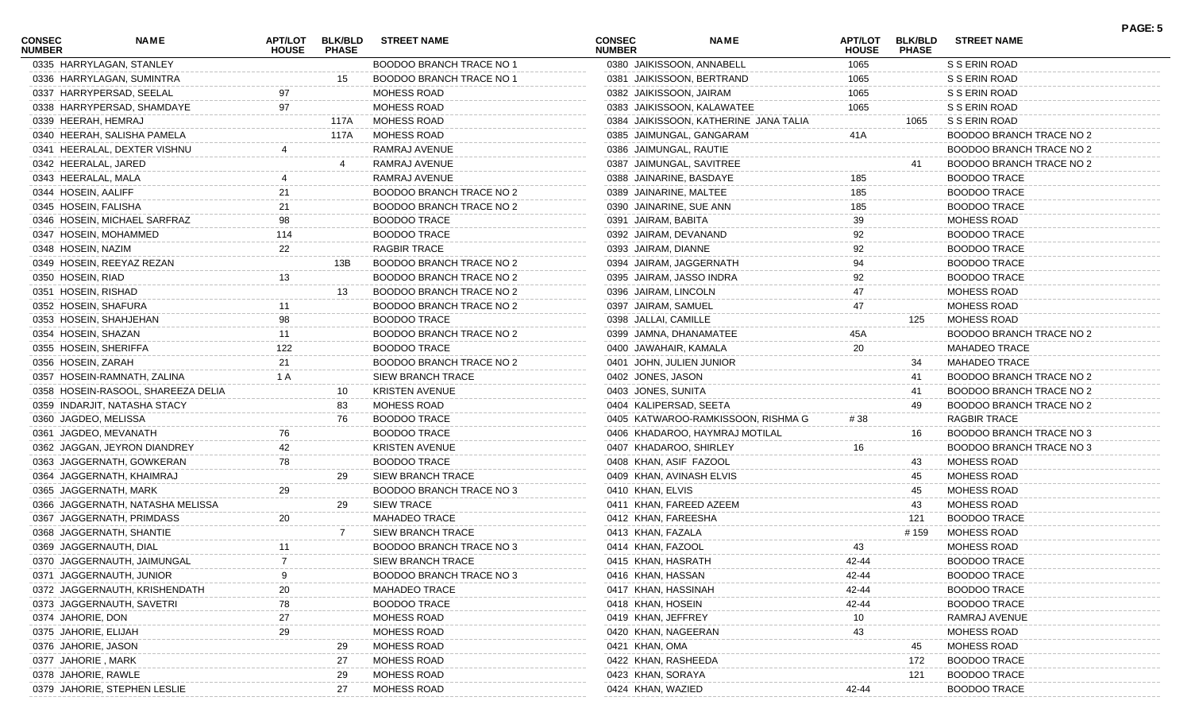| <b>CONSEC</b><br><b>NUMBER</b> | <b>NAME</b>                        | <b>HOUSE</b> | APT/LOT BLK/BLD<br><b>PHASE</b> | <b>STREET NAME</b>              | <b>CONSEC</b><br><b>NUMBER</b> | <b>NAME</b>                           | <b>HOUSE</b> | APT/LOT BLK/BLD<br><b>PHASE</b> | <b>STREET NAME</b>              |
|--------------------------------|------------------------------------|--------------|---------------------------------|---------------------------------|--------------------------------|---------------------------------------|--------------|---------------------------------|---------------------------------|
|                                | 0335 HARRYLAGAN, STANLEY           |              |                                 | BOODOO BRANCH TRACE NO 1        |                                | 0380 JAIKISSOON, ANNABELL             | 1065         |                                 | S S ERIN ROAD                   |
|                                | 0336 HARRYLAGAN, SUMINTRA          |              | 15                              | BOODOO BRANCH TRACE NO 1        |                                | 0381 JAIKISSOON, BERTRAND             | 1065         |                                 | S S ERIN ROAD                   |
|                                | 0337 HARRYPERSAD, SEELAL           |              |                                 | <b>MOHESS ROAD</b>              |                                | 0382 JAIKISSOON, JAIRAM               | 1065         |                                 | S S ERIN ROAD                   |
|                                | 0338 HARRYPERSAD, SHAMDAYE         | 97           |                                 | <b>MOHESS ROAD</b>              |                                | 0383 JAIKISSOON, KALAWATEE            | 1065         |                                 | S S ERIN ROAD                   |
|                                | 0339 HEERAH, HEMRAJ                |              | 117A                            | MOHESS ROAD                     |                                | 0384 JAIKISSOON, KATHERINE JANA TALIA |              | 1065                            | S S ERIN ROAD                   |
|                                | 0340 HEERAH, SALISHA PAMELA        |              | 117A                            | MOHESS ROAD                     |                                | 0385 JAIMUNGAL, GANGARAM              | 41A          |                                 | BOODOO BRANCH TRACE NO 2        |
|                                | 0341 HEERALAL, DEXTER VISHNU       |              |                                 | RAMRAJ AVENUE                   |                                | 0386 JAIMUNGAL, RAUTIE                |              |                                 | BOODOO BRANCH TRACE NO 2        |
|                                | 0342 HEERALAL, JARED               |              |                                 | RAMRAJ AVENUE                   |                                | 0387 JAIMUNGAL, SAVITREE              |              | 41                              | BOODOO BRANCH TRACE NO 2        |
|                                | 0343 HEERALAL, MALA                |              |                                 | RAMRAJ AVENUE                   |                                | 0388 JAINARINE, BASDAYE               | 185          |                                 | <b>BOODOO TRACE</b>             |
|                                | 0344 HOSEIN, AALIFF                | 21           |                                 | BOODOO BRANCH TRACE NO 2        |                                | 0389 JAINARINE, MALTEE                | 185          |                                 | <b>BOODOO TRACE</b>             |
|                                | 0345 HOSEIN, FALISHA               | 21           |                                 | BOODOO BRANCH TRACE NO 2        |                                | 0390 JAINARINE, SUE ANN               | 185          |                                 | <b>BOODOO TRACE</b>             |
|                                | 0346 HOSEIN, MICHAEL SARFRAZ       |              |                                 | <b>BOODOO TRACE</b>             |                                | 0391 JAIRAM, BABITA                   | 39           |                                 | <b>MOHESS ROAD</b>              |
|                                | 0347 HOSEIN, MOHAMMED              | 114          |                                 | <b>BOODOO TRACE</b>             |                                | 0392 JAIRAM, DEVANAND                 | 92           |                                 | <b>BOODOO TRACE</b>             |
|                                | 0348 HOSEIN, NAZIM                 | 22           |                                 | <b>RAGBIR TRACE</b>             |                                | 0393 JAIRAM, DIANNE                   | 92           |                                 | <b>BOODOO TRACE</b>             |
|                                | 0349 HOSEIN, REEYAZ REZAN          |              | 13B                             | BOODOO BRANCH TRACE NO 2        |                                | 0394 JAIRAM, JAGGERNATH               | 94           |                                 | <b>BOODOO TRACE</b>             |
|                                | 0350 HOSEIN, RIAD                  | 13           |                                 | BOODOO BRANCH TRACE NO 2        |                                | 0395 JAIRAM, JASSO INDRA              | 92           |                                 | <b>BOODOO TRACE</b>             |
|                                | 0351 HOSEIN, RISHAD                |              | 13                              | BOODOO BRANCH TRACE NO 2        |                                | 0396 JAIRAM, LINCOLN                  | 47           |                                 | MOHESS ROAD                     |
|                                | 0352 HOSEIN, SHAFURA               |              |                                 | <b>BOODOO BRANCH TRACE NO 2</b> |                                | 0397 JAIRAM, SAMUEL                   | 47           |                                 | <b>MOHESS ROAD</b>              |
|                                | 0353 HOSEIN, SHAHJEHAN             | 98           |                                 | <b>BOODOO TRACE</b>             |                                | 0398 JALLAI, CAMILLE                  |              | 125                             | MOHESS ROAD                     |
|                                | 0354 HOSEIN, SHAZAN                |              |                                 | <b>BOODOO BRANCH TRACE NO 2</b> |                                | 0399 JAMNA, DHANAMATEE                | 45A          |                                 | <b>BOODOO BRANCH TRACE NO 2</b> |
|                                | 0355 HOSEIN, SHERIFFA              | 122          |                                 | <b>BOODOO TRACE</b>             |                                | 0400 JAWAHAIR, KAMALA                 | 20           |                                 | <b>MAHADEO TRACE</b>            |
|                                | 0356 HOSEIN, ZARAH                 |              |                                 | <b>BOODOO BRANCH TRACE NO 2</b> |                                | 0401 JOHN, JULIEN JUNIOR              |              | 34                              | <b>MAHADEO TRACE</b>            |
|                                | 0357 HOSEIN-RAMNATH, ZALINA        | 1 A          |                                 | <b>SIEW BRANCH TRACE</b>        |                                | 0402 JONES, JASON                     |              | 41                              | <b>BOODOO BRANCH TRACE NO 2</b> |
|                                | 0358 HOSEIN-RASOOL, SHAREEZA DELIA |              | 10                              | <b>KRISTEN AVENUE</b>           |                                | 0403 JONES, SUNITA                    |              | 41                              | BOODOO BRANCH TRACE NO 2        |
|                                | 0359 INDARJIT, NATASHA STACY       |              | 83                              | <b>MOHESS ROAD</b>              |                                | 0404 KALIPERSAD, SEETA                |              | 49                              | BOODOO BRANCH TRACE NO 2        |
|                                | 0360 JAGDEO, MELISSA               |              | 76                              | <b>BOODOO TRACE</b>             |                                | 0405 KATWAROO-RAMKISSOON, RISHMA G    | #38          |                                 | <b>RAGBIR TRACE</b>             |
|                                | 0361 JAGDEO, MEVANATH              |              |                                 | <b>BOODOO TRACE</b>             |                                | 0406 KHADAROO, HAYMRAJ MOTILAL        |              | 16                              | BOODOO BRANCH TRACE NO 3        |
|                                | 0362 JAGGAN, JEYRON DIANDREY       | 42           |                                 | <b>KRISTEN AVENUE</b>           |                                | 0407 KHADAROO, SHIRLEY                | 16           |                                 | BOODOO BRANCH TRACE NO 3        |
|                                | 0363 JAGGERNATH, GOWKERAN          | 78           |                                 | <b>BOODOO TRACE</b>             |                                | 0408 KHAN, ASIF FAZOOL                |              | 43                              | <b>MOHESS ROAD</b>              |
|                                | 0364 JAGGERNATH, KHAIMRAJ          |              | 29                              | SIEW BRANCH TRACE               |                                | 0409 KHAN, AVINASH ELVIS              |              | 45                              | MOHESS ROAD                     |
|                                | 0365 JAGGERNATH, MARK              | 29           |                                 | BOODOO BRANCH TRACE NO 3        |                                | 0410 KHAN, ELVIS                      |              | 45                              | MOHESS ROAD                     |
|                                | 0366 JAGGERNATH, NATASHA MELISSA   |              | 29                              | <b>SIEW TRACE</b>               |                                | 0411 KHAN, FAREED AZEEM               |              | 43                              | <b>MOHESS ROAD</b>              |
|                                | 0367 JAGGERNATH, PRIMDASS          | 20           |                                 | <b>MAHADEO TRACE</b>            |                                | 0412 KHAN, FAREESHA                   |              | 121                             | <b>BOODOO TRACE</b>             |
|                                | 0368 JAGGERNATH, SHANTIE           |              |                                 | SIEW BRANCH TRACE               |                                | 0413 KHAN, FAZALA                     |              | # 159                           | MOHESS ROAD                     |
|                                | 0369 JAGGERNAUTH, DIAL             | 11           |                                 | BOODOO BRANCH TRACE NO 3        |                                | 0414 KHAN, FAZOOL                     | 43           |                                 | <b>MOHESS ROAD</b>              |
|                                | 0370 JAGGERNAUTH, JAIMUNGAL        |              |                                 | SIEW BRANCH TRACE               |                                | 0415 KHAN, HASRATH                    | 42-44        |                                 | <b>BOODOO TRACE</b>             |
|                                | 0371 JAGGERNAUTH, JUNIOR           |              |                                 | BOODOO BRANCH TRACE NO 3        |                                | 0416 KHAN, HASSAN                     | 42-44        |                                 | <b>BOODOO TRACE</b>             |
|                                | 0372 JAGGERNAUTH, KRISHENDATH      |              |                                 | <b>MAHADEO TRACE</b>            |                                | 0417 KHAN, HASSINAH                   | 42-44        |                                 | <b>BOODOO TRACE</b>             |
|                                | 0373 JAGGERNAUTH, SAVETRI          |              |                                 | <b>BOODOO TRACE</b>             |                                | 0418 KHAN, HOSEIN                     | 42-44        |                                 | <b>BOODOO TRACE</b>             |
|                                | 0374 JAHORIE, DON                  |              |                                 | MOHESS ROAD                     |                                | 0419 KHAN, JEFFREY                    | 10           |                                 | RAMRAJ AVENUE                   |
|                                | 0375 JAHORIE, ELIJAH               |              |                                 | MOHESS ROAD                     |                                | 0420 KHAN, NAGEERAN                   | 43           |                                 | <b>MOHESS ROAD</b>              |
|                                | 0376 JAHORIE, JASON                |              | 29                              | MOHESS ROAD                     |                                | 0421 KHAN, OMA                        |              |                                 | MOHESS ROAD                     |
|                                | 0377 JAHORIE, MARK                 |              | 27                              | MOHESS ROAD                     |                                | 0422 KHAN, RASHEEDA                   |              | 172                             | <b>BOODOO TRACE</b>             |
|                                | 0378 JAHORIE, RAWLE                |              | 29                              | MOHESS ROAD                     |                                | 0423 KHAN, SORAYA                     |              | 121                             | <b>BOODOO TRACE</b>             |
|                                | 0379 JAHORIE, STEPHEN LESLIE       |              | 27                              | MOHESS ROAD                     |                                | 0424 KHAN, WAZIED                     | 42-44        |                                 | <b>BOODOO TRACE</b>             |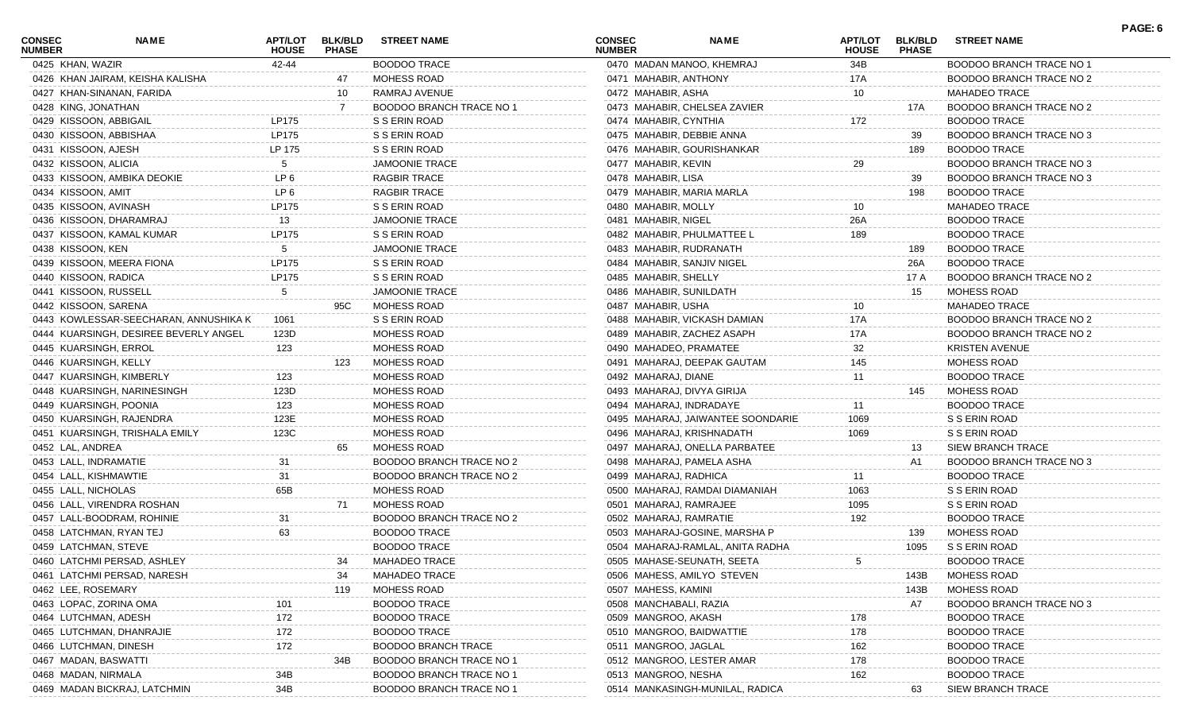| <b>CONSEC</b><br><b>NUMBER</b> | NAME                                  | APT/LOT<br><b>HOUSE</b> | <b>BLK/BLD</b><br><b>PHASE</b> | <b>STREET NAME</b>              | <b>CONSEC</b><br><b>NUMBER</b> | <b>NAME</b>                       | <b>APT/LOT</b><br><b>HOUSE</b> | <b>BLK/BLD</b><br><b>PHASE</b> | <b>STREET NAME</b>              | PAGE: 6 |
|--------------------------------|---------------------------------------|-------------------------|--------------------------------|---------------------------------|--------------------------------|-----------------------------------|--------------------------------|--------------------------------|---------------------------------|---------|
| 0425 KHAN, WAZIR               |                                       | 42-44                   |                                | <b>BOODOO TRACE</b>             |                                | 0470 MADAN MANOO, KHEMRAJ         | 34B                            |                                | BOODOO BRANCH TRACE NO 1        |         |
|                                | 0426 KHAN JAIRAM, KEISHA KALISHA      |                         | 47                             | MOHESS ROAD                     |                                | 0471 MAHABIR, ANTHONY             | 17A                            |                                | BOODOO BRANCH TRACE NO 2        |         |
|                                | 0427 KHAN-SINANAN, FARIDA             |                         | 10                             | RAMRAJ AVENUE                   | 0472 MAHABIR, ASHA             |                                   | 10                             |                                | <b>MAHADEO TRACE</b>            |         |
| 0428 KING, JONATHAN            |                                       |                         |                                | <b>BOODOO BRANCH TRACE NO 1</b> |                                | 0473 MAHABIR, CHELSEA ZAVIER      |                                | 17A                            | BOODOO BRANCH TRACE NO 2        |         |
| 0429 KISSOON, ABBIGAIL         |                                       | LP175                   |                                | S S ERIN ROAD                   | 0474 MAHABIR, CYNTHIA          |                                   | 172                            |                                | <b>BOODOO TRACE</b>             |         |
|                                | 0430 KISSOON, ABBISHAA                | LP175                   |                                | S S ERIN ROAD                   |                                | 0475 MAHABIR, DEBBIE ANNA         |                                | 39                             | BOODOO BRANCH TRACE NO 3        |         |
| 0431 KISSOON, AJESH            |                                       | LP 175                  |                                | S S ERIN ROAD                   |                                | 0476 MAHABIR, GOURISHANKAR        |                                | 189                            | <b>BOODOO TRACE</b>             |         |
| 0432 KISSOON, ALICIA           |                                       |                         |                                | <b>JAMOONIE TRACE</b>           | 0477 MAHABIR, KEVIN            |                                   | 29                             |                                | BOODOO BRANCH TRACE NO 3        |         |
|                                | 0433 KISSOON, AMBIKA DEOKIE           | LP 6                    |                                | <b>RAGBIR TRACE</b>             | 0478 MAHABIR, LISA             |                                   |                                | 39                             | BOODOO BRANCH TRACE NO 3        |         |
| 0434 KISSOON, AMIT             |                                       | LP <sub>6</sub>         |                                | <b>RAGBIR TRACE</b>             |                                | 0479 MAHABIR, MARIA MARLA         |                                | 198                            | <b>BOODOO TRACE</b>             |         |
| 0435 KISSOON, AVINASH          |                                       | LP175                   |                                | S S ERIN ROAD                   | 0480 MAHABIR, MOLLY            |                                   | 10                             |                                | <b>MAHADEO TRACE</b>            |         |
|                                | 0436 KISSOON, DHARAMRAJ               | 13                      |                                | <b>JAMOONIE TRACE</b>           | 0481 MAHABIR, NIGEL            |                                   | 26A                            |                                | <b>BOODOO TRACE</b>             |         |
|                                | 0437 KISSOON, KAMAL KUMAR             | LP175                   |                                | S S ERIN ROAD                   |                                | 0482 MAHABIR, PHULMATTEE L        | 189                            |                                | <b>BOODOO TRACE</b>             |         |
| 0438 KISSOON, KEN              |                                       |                         |                                | <b>JAMOONIE TRACE</b>           |                                | 0483 MAHABIR, RUDRANATH           |                                | 189                            | <b>BOODOO TRACE</b>             |         |
|                                | 0439 KISSOON, MEERA FIONA             | LP175                   |                                | S S ERIN ROAD                   |                                | 0484 MAHABIR, SANJIV NIGEL        |                                | 26A                            | <b>BOODOO TRACE</b>             |         |
| 0440 KISSOON, RADICA           |                                       | LP175                   |                                | S S ERIN ROAD                   | 0485 MAHABIR, SHELLY           |                                   |                                | 17 A                           | BOODOO BRANCH TRACE NO 2        |         |
| 0441 KISSOON, RUSSELL          |                                       | 5                       |                                | <b>JAMOONIE TRACE</b>           |                                | 0486 MAHABIR, SUNILDATH           |                                | 15                             | MOHESS ROAD                     |         |
| 0442 KISSOON, SARENA           |                                       |                         | 95C                            | <b>MOHESS ROAD</b>              | 0487 MAHABIR, USHA             |                                   | 10                             |                                | <b>MAHADEO TRACE</b>            |         |
|                                | 0443 KOWLESSAR-SEECHARAN, ANNUSHIKA K | 1061                    |                                | S S ERIN ROAD                   |                                | 0488 MAHABIR, VICKASH DAMIAN      | 17A                            |                                | <b>BOODOO BRANCH TRACE NO 2</b> |         |
|                                | 0444 KUARSINGH, DESIREE BEVERLY ANGEL | 123D                    |                                | MOHESS ROAD                     |                                | 0489 MAHABIR, ZACHEZ ASAPH        | 17A                            |                                | BOODOO BRANCH TRACE NO 2        |         |
|                                | 0445 KUARSINGH, ERROL                 | 123                     |                                | MOHESS ROAD                     |                                | 0490 MAHADEO, PRAMATEE            | 32                             |                                | <b>KRISTEN AVENUE</b>           |         |
| 0446 KUARSINGH, KELLY          |                                       |                         | 123                            | MOHESS ROAD                     |                                | 0491 MAHARAJ, DEEPAK GAUTAM       | 145                            |                                | MOHESS ROAD                     |         |
|                                | 0447 KUARSINGH, KIMBERLY              | 123                     |                                | <b>MOHESS ROAD</b>              | 0492 MAHARAJ, DIANE            |                                   | 11                             |                                | <b>BOODOO TRACE</b>             |         |
|                                | 0448 KUARSINGH, NARINESINGH           | 123D                    |                                | MOHESS ROAD                     |                                | 0493 MAHARAJ, DIVYA GIRIJA        |                                | 145                            | <b>MOHESS ROAD</b>              |         |
|                                | 0449 KUARSINGH, POONIA                | 123                     |                                | MOHESS ROAD                     |                                | 0494 MAHARAJ, INDRADAYE           | 11                             |                                | <b>BOODOO TRACE</b>             |         |
|                                | 0450 KUARSINGH, RAJENDRA              | 123E                    |                                | MOHESS ROAD                     |                                | 0495 MAHARAJ, JAIWANTEE SOONDARIE | 1069                           |                                | S S ERIN ROAD                   |         |
|                                | 0451 KUARSINGH, TRISHALA EMILY        | 123C                    |                                | MOHESS ROAD                     |                                | 0496 MAHARAJ, KRISHNADATH         | 1069                           |                                | S S ERIN ROAD                   |         |
| 0452 LAL, ANDREA               |                                       |                         | 65                             | MOHESS ROAD                     |                                | 0497 MAHARAJ, ONELLA PARBATEE     |                                | 13                             | SIEW BRANCH TRACE               |         |
| 0453 LALL, INDRAMATIE          |                                       | 31                      |                                | BOODOO BRANCH TRACE NO 2        |                                | 0498 MAHARAJ, PAMELA ASHA         |                                | A1                             | BOODOO BRANCH TRACE NO 3        |         |
| 0454 LALL, KISHMAWTIE          |                                       | 31                      |                                | BOODOO BRANCH TRACE NO 2        |                                | 0499 MAHARAJ, RADHICA             | 11                             |                                | <b>BOODOO TRACE</b>             |         |
| 0455 LALL, NICHOLAS            |                                       | 65B                     |                                | <b>MOHESS ROAD</b>              |                                | 0500 MAHARAJ, RAMDAI DIAMANIAH    | 1063                           |                                | S S ERIN ROAD                   |         |
|                                | 0456 LALL, VIRENDRA ROSHAN            |                         | 71                             | MOHESS ROAD                     |                                | 0501 MAHARAJ, RAMRAJEE            | 1095                           |                                | S S ERIN ROAD                   |         |
|                                | 0457 LALL-BOODRAM, ROHINIE            | 31                      |                                | BOODOO BRANCH TRACE NO 2        |                                | 0502 MAHARAJ, RAMRATIE            | 192                            |                                | <b>BOODOO TRACE</b>             |         |
|                                | 0458 LATCHMAN, RYAN TEJ               | 63                      |                                | <b>BOODOO TRACE</b>             |                                | 0503 MAHARAJ-GOSINE, MARSHA P     |                                | 139                            | MOHESS ROAD                     |         |
| 0459 LATCHMAN, STEVE           |                                       |                         |                                | <b>BOODOO TRACE</b>             |                                | 0504 MAHARAJ-RAMLAL, ANITA RADHA  |                                | 1095                           | S S ERIN ROAD                   |         |
|                                | 0460 LATCHMI PERSAD, ASHLEY           |                         | 34                             | <b>MAHADEO TRACE</b>            |                                | 0505 MAHASE-SEUNATH, SEETA        | $5\phantom{.0}$                |                                | <b>BOODOO TRACE</b>             |         |
|                                | 0461 LATCHMI PERSAD, NARESH           |                         | 34                             | <b>MAHADEO TRACE</b>            |                                | 0506 MAHESS, AMILYO STEVEN        |                                | 143B                           | <b>MOHESS ROAD</b>              |         |
| 0462 LEE, ROSEMARY             |                                       |                         | 119                            | MOHESS ROAD                     | 0507 MAHESS, KAMINI            |                                   |                                | 143B                           | MOHESS ROAD                     |         |
|                                | 0463 LOPAC, ZORINA OMA                |                         |                                | <b>BOODOO TRACE</b>             |                                | 0508 MANCHABALI, RAZIA            |                                | A7                             | BOODOO BRANCH TRACE NO 3        |         |
| 0464 LUTCHMAN, ADESH           |                                       | 172                     |                                | <b>BOODOO TRACE</b>             | 0509 MANGROO, AKASH            |                                   | 178                            |                                | <b>BOODOO TRACE</b>             |         |
|                                | 0465 LUTCHMAN, DHANRAJIE              | 172                     |                                | <b>BOODOO TRACE</b>             |                                | 0510 MANGROO, BAIDWATTIE          | 178                            |                                | <b>BOODOO TRACE</b>             |         |
|                                | 0466 LUTCHMAN, DINESH                 | 172                     |                                | <b>BOODOO BRANCH TRACE</b>      | 0511 MANGROO, JAGLAL           |                                   | 162                            |                                | <b>BOODOO TRACE</b>             |         |
| 0467 MADAN, BASWATTI           |                                       |                         | 34B                            | BOODOO BRANCH TRACE NO          |                                | 0512 MANGROO, LESTER AMAR         | 178                            |                                | <b>BOODOO TRACE</b>             |         |
| 0468 MADAN, NIRMALA            |                                       | 34B                     |                                | <b>BOODOO BRANCH TRACE NO *</b> | 0513 MANGROO, NESHA            |                                   | 162                            |                                | <b>BOODOO TRACE</b>             |         |
|                                | 0469 MADAN BICKRAJ, LATCHMIN          | 34B                     |                                | <b>BOODOO BRANCH TRACE NO *</b> |                                | 0514 MANKASINGH-MUNILAL, RADICA   |                                | 63                             | SIEW BRANCH TRACE               |         |
|                                |                                       |                         |                                |                                 |                                |                                   |                                |                                |                                 |         |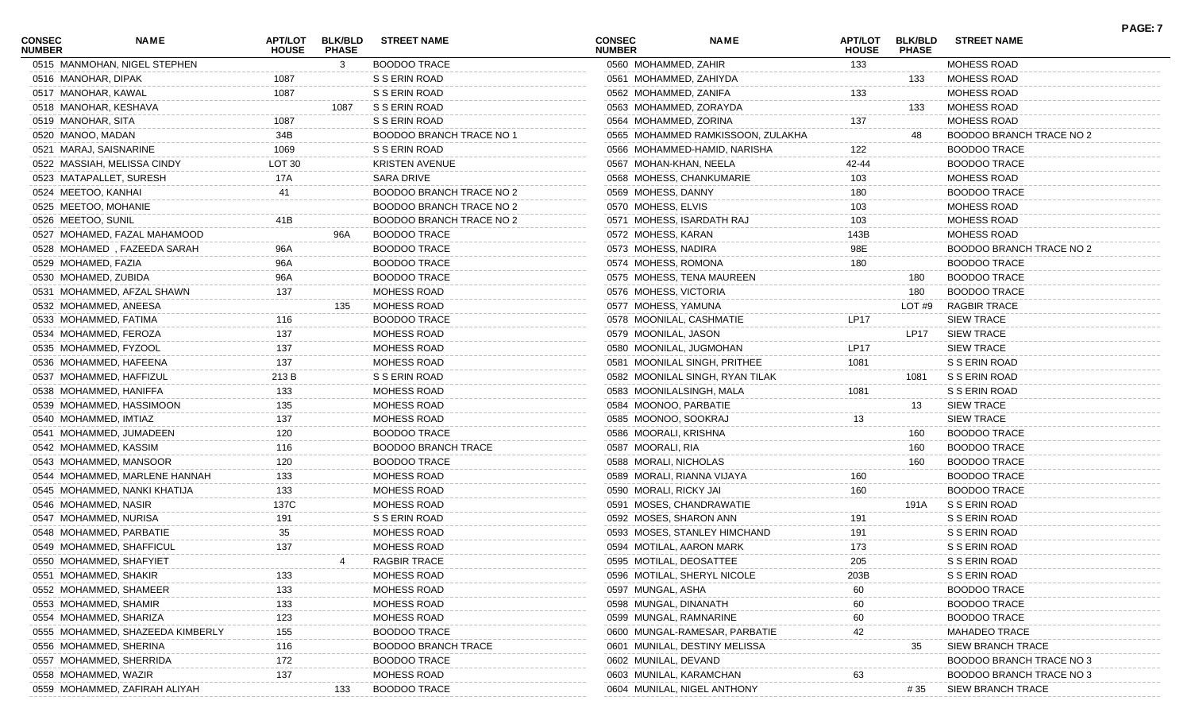| <b>CONSEC</b><br><b>NUMBER</b> | NAME                             | <b>APT/LOT</b><br><b>HOUSE</b> | <b>BLK/BLD</b><br><b>PHASE</b> | <b>STREET NAME</b>              | <b>CONSEC</b><br><b>NUMBER</b> | <b>NAME</b>                       | <b>APT/LOT</b><br><b>HOUSE</b> | <b>BLK/BLD</b><br><b>PHASE</b> | <b>STREET NAME</b>             | <b>PAGE: 7</b> |
|--------------------------------|----------------------------------|--------------------------------|--------------------------------|---------------------------------|--------------------------------|-----------------------------------|--------------------------------|--------------------------------|--------------------------------|----------------|
|                                | 0515 MANMOHAN, NIGEL STEPHEN     |                                | 3                              | <b>BOODOO TRACE</b>             | 0560 MOHAMMED, ZAHIR           |                                   | 133                            |                                | MOHESS ROAD                    |                |
| 0516 MANOHAR, DIPAK            |                                  | 1087                           |                                | S S ERIN ROAD                   | 0561 MOHAMMED, ZAHIYDA         |                                   |                                | 133                            | MOHESS ROAD                    |                |
| 0517 MANOHAR, KAWAL            |                                  | 1087                           |                                | S S ERIN ROAD                   | 0562 MOHAMMED, ZANIFA          |                                   | 133                            |                                | <b>MOHESS ROAD</b>             |                |
|                                | 0518 MANOHAR, KESHAVA            |                                | 1087                           | S S ERIN ROAD                   | 0563 MOHAMMED, ZORAYDA         |                                   |                                | 133                            | MOHESS ROAD                    |                |
| 0519 MANOHAR, SITA             |                                  | 1087                           |                                | S S ERIN ROAD                   | 0564 MOHAMMED, ZORINA          |                                   | 137                            |                                | <b>MOHESS ROAD</b>             |                |
| 0520 MANOO, MADAN              |                                  | 34B                            |                                | <b>BOODOO BRANCH TRACE NO 1</b> |                                | 0565 MOHAMMED RAMKISSOON, ZULAKHA |                                | 48                             | BOODOO BRANCH TRACE NO 2       |                |
| 0521 MARAJ, SAISNARINE         |                                  | 1069                           |                                | S S ERIN ROAD                   |                                | 0566 MOHAMMED-HAMID, NARISHA      | 122                            |                                | <b>BOODOO TRACE</b>            |                |
|                                | 0522 MASSIAH, MELISSA CINDY      | LOT 30                         |                                | <b>KRISTEN AVENUE</b>           | 0567 MOHAN-KHAN, NEELA         |                                   | 42-44                          |                                | <b>BOODOO TRACE</b>            |                |
|                                | 0523 MATAPALLET, SURESH          | 17A                            |                                | <b>SARA DRIVE</b>               |                                | 0568 MOHESS, CHANKUMARIE          | 103                            |                                | <b>MOHESS ROAD</b>             |                |
| 0524 MEETOO, KANHAI            |                                  | 41                             |                                | BOODOO BRANCH TRACE NO 2        | 0569 MOHESS, DANNY             |                                   | 180                            |                                | <b>BOODOO TRACE</b>            |                |
| 0525 MEETOO, MOHANIE           |                                  |                                |                                | BOODOO BRANCH TRACE NO 2        | 0570 MOHESS, ELVIS             |                                   | 103                            |                                | <b>MOHESS ROAD</b>             |                |
| 0526 MEETOO, SUNIL             |                                  | 41B                            |                                | BOODOO BRANCH TRACE NO 2        |                                | 0571 MOHESS, ISARDATH RAJ         | 103                            |                                | <b>MOHESS ROAD</b>             |                |
|                                | 0527 MOHAMED, FAZAL MAHAMOOD     |                                | 96A                            | <b>BOODOO TRACE</b>             | 0572 MOHESS, KARAN             |                                   | 143B                           |                                | <b>MOHESS ROAD</b>             |                |
|                                | 0528 MOHAMED, FAZEEDA SARAH      | 96A                            |                                | <b>BOODOO TRACE</b>             | 0573 MOHESS, NADIRA            |                                   | 98E                            |                                | BOODOO BRANCH TRACE NO 2       |                |
| 0529 MOHAMED, FAZIA            |                                  | 96A                            |                                | <b>BOODOO TRACE</b>             | 0574 MOHESS, ROMONA            |                                   | 180                            |                                | <b>BOODOO TRACE</b>            |                |
| 0530 MOHAMED, ZUBIDA           |                                  | 96A                            |                                | <b>BOODOO TRACE</b>             |                                | 0575 MOHESS, TENA MAUREEN         |                                | 180                            | <b>BOODOO TRACE</b>            |                |
|                                | 0531 MOHAMMED, AFZAL SHAWN       | 137                            |                                | MOHESS ROAD                     | 0576 MOHESS, VICTORIA          |                                   |                                | 180                            | <b>BOODOO TRACE</b>            |                |
|                                | 0532 MOHAMMED, ANEESA            |                                | 135                            | <b>MOHESS ROAD</b>              | 0577 MOHESS, YAMUNA            |                                   |                                | LOT #9                         | <b>RAGBIR TRACE</b>            |                |
|                                | 0533 MOHAMMED, FATIMA            | 116                            |                                | <b>BOODOO TRACE</b>             |                                | 0578 MOONILAL, CASHMATIE          | LP17                           |                                | <b>SIEW TRACE</b>              |                |
|                                | 0534 MOHAMMED, FEROZA            | 137                            |                                | <b>MOHESS ROAD</b>              | 0579 MOONILAL, JASON           |                                   |                                | LP17                           | <b>SIEW TRACE</b>              |                |
|                                | 0535 MOHAMMED, FYZOOL            | 137                            |                                | MOHESS ROAD                     | 0580 MOONILAL, JUGMOHAN        |                                   | <b>LP17</b>                    |                                | <b>SIEW TRACE</b>              |                |
|                                | 0536 MOHAMMED, HAFEENA           | 137                            |                                | MOHESS ROAD                     |                                | 0581 MOONILAL SINGH, PRITHEE      | 1081                           |                                | S S ERIN ROAD                  |                |
|                                | 0537 MOHAMMED, HAFFIZUL          | 213 B                          |                                | S S ERIN ROAD                   |                                | 0582 MOONILAL SINGH, RYAN TILAK   |                                | 1081                           | S S ERIN ROAD                  |                |
|                                | 0538 MOHAMMED, HANIFFA           | 133                            |                                | MOHESS ROAD                     |                                | 0583 MOONILALSINGH, MALA          | 1081                           |                                | S S ERIN ROAD                  |                |
|                                | 0539 MOHAMMED, HASSIMOON         | 135                            |                                | MOHESS ROAD                     | 0584 MOONOO, PARBATIE          |                                   |                                | 13                             | <b>SIEW TRACE</b>              |                |
| 0540 MOHAMMED, IMTIAZ          |                                  | 137                            |                                | <b>MOHESS ROAD</b>              | 0585 MOONOO, SOOKRAJ           |                                   | 13                             |                                | <b>SIEW TRACE</b>              |                |
|                                | 0541 MOHAMMED, JUMADEEN          | 120                            |                                | BOODOO TRACE                    | 0586 MOORALI, KRISHNA          |                                   |                                | 160                            | <b>BOODOO TRACE</b>            |                |
|                                | 0542 MOHAMMED, KASSIM            | 116                            |                                | <b>BOODOO BRANCH TRACE</b>      | 0587 MOORALI, RIA              |                                   |                                | 160                            | <b>BOODOO TRACE</b>            |                |
|                                | 0543 MOHAMMED, MANSOOR           | 120                            |                                | <b>BOODOO TRACE</b>             | 0588 MORALI, NICHOLAS          |                                   |                                | 160                            | <b>BOODOO TRACE</b>            |                |
|                                | 0544 MOHAMMED, MARLENE HANNAH    | 133                            |                                | MOHESS ROAD                     |                                | 0589 MORALI, RIANNA VIJAYA        | 160                            |                                | <b>BOODOO TRACE</b>            |                |
|                                | 0545 MOHAMMED, NANKI KHATIJA     | 133                            |                                | MOHESS ROAD                     | 0590 MORALI, RICKY JAI         |                                   | 160                            |                                | <b>BOODOO TRACE</b>            |                |
| 0546 MOHAMMED, NASIR           |                                  | 137C                           |                                | MOHESS ROAD                     |                                | 0591 MOSES, CHANDRAWATIE          |                                | 191A                           | S S ERIN ROAD                  |                |
|                                | 0547 MOHAMMED, NURISA            | 191                            |                                | S S ERIN ROAD                   | 0592 MOSES, SHARON ANN         |                                   | 191                            |                                | S S ERIN ROAD                  |                |
|                                | 0548 MOHAMMED, PARBATIE          | 35                             |                                | MOHESS ROAD                     |                                | 0593 MOSES, STANLEY HIMCHAND      | 191                            |                                | S S ERIN ROAD                  |                |
|                                | 0549 MOHAMMED, SHAFFICUL         | 137                            |                                | MOHESS ROAD                     |                                | 0594 MOTILAL, AARON MARK          | 173                            |                                | S S ERIN ROAD                  |                |
|                                | 0550 MOHAMMED, SHAFYIET          |                                |                                | RAGBIR TRACE                    | 0595 MOTILAL, DEOSATTEE        |                                   | 205                            |                                | S S ERIN ROAD                  |                |
|                                | 0551 MOHAMMED, SHAKIR            |                                |                                | MOHESS ROAD                     |                                | 0596 MOTILAL, SHERYL NICOLE       |                                |                                | S S ERIN ROAD                  |                |
|                                | 0552 MOHAMMED, SHAMEER           | 133<br>133                     |                                | MOHESS ROAD                     | 0597 MUNGAL, ASHA              |                                   | 203B                           |                                | <b>BOODOO TRACE</b>            |                |
|                                | 0553 MOHAMMED, SHAMIR            |                                |                                | MOHESS ROAD                     |                                |                                   | 60                             |                                | <b>BOODOO TRACE</b>            |                |
|                                |                                  | 133                            |                                |                                 | 0598 MUNGAL, DINANATH          |                                   | 60                             |                                |                                |                |
|                                | 0554 MOHAMMED, SHARIZA           | 123                            |                                | MOHESS ROAD                     | 0599 MUNGAL, RAMNARINE         |                                   | 60                             |                                | <b>BOODOO TRACE</b>            |                |
|                                | 0555 MOHAMMED, SHAZEEDA KIMBERLY | 155                            |                                | <b>BOODOO TRACE</b>             |                                | 0600 MUNGAL-RAMESAR, PARBATIE     | 42                             |                                | <b>MAHADEO TRACE</b>           |                |
|                                | 0556 MOHAMMED, SHERINA           | 116                            |                                | <b>BOODOO BRANCH TRACE</b>      |                                | 0601 MUNILAL, DESTINY MELISSA     |                                | 35                             | <b>SIEW BRANCH TRACE</b>       |                |
|                                | 0557 MOHAMMED, SHERRIDA          | 172                            |                                | <b>BOODOO TRACE</b>             | 0602 MUNILAL, DEVAND           |                                   |                                |                                | <b>BOODOO BRANCH TRACE NO:</b> |                |
| 0558 MOHAMMED, WAZIR           |                                  | 137                            |                                | MOHESS ROAD                     | 0603 MUNILAL, KARAMCHAN        |                                   | 63                             |                                | BOODOO BRANCH TRACE NO 3       |                |
|                                | 0559 MOHAMMED, ZAFIRAH ALIYAH    |                                | 133                            | <b>BOODOO TRACE</b>             |                                | 0604 MUNILAL, NIGEL ANTHONY       |                                | #35                            | SIEW BRANCH TRACE              |                |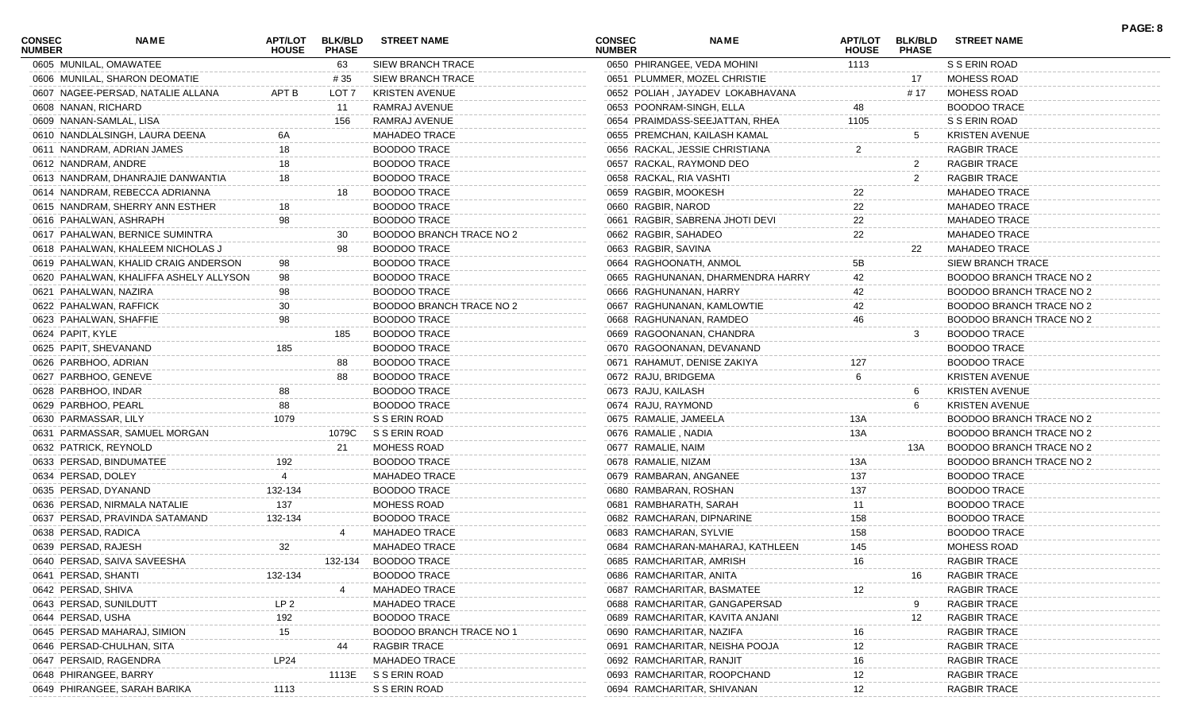| <b>CONSEC</b><br><b>NUMBER</b> | <b>NAME</b>                            | <b>APT/LOT</b><br><b>HOUSE</b> | <b>BLK/BLD</b><br><b>PHASE</b> | <b>STREET NAME</b>              | <b>CONSEC</b><br><b>NUMBER</b> | <b>NAME</b>                       | <b>APT/LOT</b><br><b>HOUSE</b> | <b>BLK/BLD</b><br><b>PHASE</b> | <b>STREET NAME</b>       | PAGE: 8 |
|--------------------------------|----------------------------------------|--------------------------------|--------------------------------|---------------------------------|--------------------------------|-----------------------------------|--------------------------------|--------------------------------|--------------------------|---------|
|                                | 0605 MUNILAL, OMAWATEE                 |                                | 63                             | <b>SIEW BRANCH TRACE</b>        |                                | 0650 PHIRANGEE, VEDA MOHINI       | 1113                           |                                | S S ERIN ROAD            |         |
|                                | 0606 MUNILAL, SHARON DEOMATIE          |                                | # 35                           | <b>SIEW BRANCH TRACE</b>        |                                | 0651 PLUMMER, MOZEL CHRISTIE      |                                | 17                             | <b>MOHESS ROAD</b>       |         |
|                                | 0607 NAGEE-PERSAD, NATALIE ALLANA      | APT B                          | LOT 7                          | <b>KRISTEN AVENUE</b>           |                                | 0652 POLIAH, JAYADEV LOKABHAVANA  |                                | # 17                           | MOHESS ROAD              |         |
| 0608 NANAN, RICHARD            |                                        |                                | 11                             | RAMRAJ AVENUE                   | 0653 POONRAM-SINGH, ELLA       |                                   | 48                             |                                | <b>BOODOO TRACE</b>      |         |
|                                | 0609 NANAN-SAMLAL, LISA                |                                | 156                            | RAMRAJ AVENUE                   |                                | 0654 PRAIMDASS-SEEJATTAN, RHEA    | 1105                           |                                | S S ERIN ROAD            |         |
|                                | 0610 NANDLALSINGH, LAURA DEENA         |                                |                                | <b>MAHADEO TRACE</b>            |                                | 0655 PREMCHAN, KAILASH KAMAL      |                                | 5                              | <b>KRISTEN AVENUE</b>    |         |
|                                | 0611 NANDRAM, ADRIAN JAMES             |                                |                                | <b>BOODOO TRACE</b>             |                                | 0656 RACKAL, JESSIE CHRISTIANA    | $\overline{2}$                 |                                | <b>RAGBIR TRACE</b>      |         |
| 0612 NANDRAM, ANDRE            |                                        |                                |                                | <b>BOODOO TRACE</b>             |                                | 0657 RACKAL, RAYMOND DEO          |                                | $\mathbf{2}$                   | <b>RAGBIR TRACE</b>      |         |
|                                | 0613 NANDRAM, DHANRAJIE DANWANTIA      | 18                             |                                | <b>BOODOO TRACE</b>             | 0658 RACKAL, RIA VASHTI        |                                   |                                | $\overline{2}$                 | <b>RAGBIR TRACE</b>      |         |
|                                | 0614 NANDRAM, REBECCA ADRIANNA         |                                | 18                             | <b>BOODOO TRACE</b>             | 0659 RAGBIR, MOOKESH           |                                   | 22                             |                                | <b>MAHADEO TRACE</b>     |         |
|                                | 0615 NANDRAM, SHERRY ANN ESTHER        |                                |                                | <b>BOODOO TRACE</b>             | 0660 RAGBIR, NAROD             |                                   | 22                             |                                | <b>MAHADEO TRACE</b>     |         |
|                                | 0616 PAHALWAN, ASHRAPH                 | 98                             |                                | <b>BOODOO TRACE</b>             |                                | 0661 RAGBIR, SABRENA JHOTI DEVI   | 22                             |                                | <b>MAHADEO TRACE</b>     |         |
|                                | 0617 PAHALWAN, BERNICE SUMINTRA        |                                | 30                             | BOODOO BRANCH TRACE NO 2        | 0662 RAGBIR, SAHADEO           |                                   | 22                             |                                | <b>MAHADEO TRACE</b>     |         |
|                                | 0618 PAHALWAN, KHALEEM NICHOLAS J      |                                | 98                             | <b>BOODOO TRACE</b>             | 0663 RAGBIR, SAVINA            |                                   |                                | 22                             | <b>MAHADEO TRACE</b>     |         |
|                                | 0619 PAHALWAN, KHALID CRAIG ANDERSON   |                                |                                | <b>BOODOO TRACE</b>             | 0664 RAGHOONATH, ANMOL         |                                   | 5B                             |                                | <b>SIEW BRANCH TRACE</b> |         |
|                                | 0620 PAHALWAN, KHALIFFA ASHELY ALLYSON | 98                             |                                | <b>BOODOO TRACE</b>             |                                | 0665 RAGHUNANAN, DHARMENDRA HARRY | 42                             |                                | BOODOO BRANCH TRACE NO 2 |         |
| 0621 PAHALWAN, NAZIRA          |                                        | 98                             |                                | <b>BOODOO TRACE</b>             | 0666 RAGHUNANAN, HARRY         |                                   |                                |                                | BOODOO BRANCH TRACE NO 2 |         |
|                                | 0622 PAHALWAN, RAFFICK                 | 30                             |                                | <b>BOODOO BRANCH TRACE NO 2</b> |                                | 0667 RAGHUNANAN, KAMLOWTIE        | 42                             |                                | BOODOO BRANCH TRACE NO 2 |         |
|                                | 0623 PAHALWAN, SHAFFIE                 | 98                             |                                | <b>BOODOO TRACE</b>             |                                | 0668 RAGHUNANAN, RAMDEO           | 46                             |                                | BOODOO BRANCH TRACE NO 2 |         |
| 0624 PAPIT, KYLE               |                                        |                                | 185                            | <b>BOODOO TRACE</b>             |                                | 0669 RAGOONANAN, CHANDRA          |                                | 3                              | <b>BOODOO TRACE</b>      |         |
| 0625 PAPIT, SHEVANAND          |                                        | 185                            |                                | <b>BOODOO TRACE</b>             |                                | 0670 RAGOONANAN, DEVANAND         |                                |                                | <b>BOODOO TRACE</b>      |         |
| 0626 PARBHOO, ADRIAN           |                                        |                                | 88                             | <b>BOODOO TRACE</b>             |                                | 0671 RAHAMUT, DENISE ZAKIYA       | 127                            |                                | <b>BOODOO TRACE</b>      |         |
| 0627 PARBHOO, GENEVE           |                                        |                                | 88                             | <b>BOODOO TRACE</b>             | 0672 RAJU, BRIDGEMA            |                                   | 6                              |                                | <b>KRISTEN AVENUE</b>    |         |
| 0628 PARBHOO, INDAR            |                                        | 88                             |                                | <b>BOODOO TRACE</b>             | 0673 RAJU, KAILASH             |                                   |                                |                                | <b>KRISTEN AVENUE</b>    |         |
| 0629 PARBHOO, PEARL            |                                        | 88                             |                                | <b>BOODOO TRACE</b>             | 0674 RAJU, RAYMOND             |                                   |                                |                                | <b>KRISTEN AVENUE</b>    |         |
| 0630 PARMASSAR, LILY           |                                        | 1079                           |                                | S S ERIN ROAD                   | 0675 RAMALIE, JAMEELA          |                                   | 13A                            |                                | BOODOO BRANCH TRACE NO 2 |         |
|                                | 0631 PARMASSAR, SAMUEL MORGAN          |                                | 1079C                          | S S ERIN ROAD                   | 0676 RAMALIE, NADIA            |                                   | 13A                            |                                | BOODOO BRANCH TRACE NO 2 |         |
| 0632 PATRICK, REYNOLD          |                                        |                                | 21                             | MOHESS ROAD                     | 0677 RAMALIE, NAIM             |                                   |                                | 13A                            | BOODOO BRANCH TRACE NO 2 |         |
|                                | 0633 PERSAD, BINDUMATEE                | 192                            |                                | <b>BOODOO TRACE</b>             | 0678 RAMALIE, NIZAM            |                                   | 13A                            |                                | BOODOO BRANCH TRACE NO 2 |         |
| 0634 PERSAD, DOLEY             |                                        |                                |                                | <b>MAHADEO TRACE</b>            | 0679 RAMBARAN, ANGANEE         |                                   | 137                            |                                | <b>BOODOO TRACE</b>      |         |
| 0635 PERSAD, DYANAND           |                                        | 132-134                        |                                | <b>BOODOO TRACE</b>             | 0680 RAMBARAN, ROSHAN          |                                   | 137                            |                                | <b>BOODOO TRACE</b>      |         |
|                                | 0636 PERSAD, NIRMALA NATALIE           | 137                            |                                | MOHESS ROAD                     | 0681 RAMBHARATH, SARAH         |                                   | 11                             |                                | <b>BOODOO TRACE</b>      |         |
|                                | 0637 PERSAD, PRAVINDA SATAMAND         | 132-134                        |                                | <b>BOODOO TRACE</b>             |                                | 0682 RAMCHARAN, DIPNARINE         | 158                            |                                | <b>BOODOO TRACE</b>      |         |
| 0638 PERSAD, RADICA            |                                        |                                |                                | <b>MAHADEO TRACE</b>            | 0683 RAMCHARAN, SYLVIE         |                                   | 158                            |                                | <b>BOODOO TRACE</b>      |         |
| 0639 PERSAD, RAJESH            |                                        | 32                             |                                | <b>MAHADEO TRACE</b>            |                                | 0684 RAMCHARAN-MAHARAJ, KATHLEEN  | 145                            |                                | <b>MOHESS ROAD</b>       |         |
|                                | 0640 PERSAD, SAIVA SAVEESHA            |                                | 132-134                        | <b>BOODOO TRACE</b>             | 0685 RAMCHARITAR, AMRISH       |                                   | 16                             |                                | RAGBIR TRACE             |         |
| 0641 PERSAD, SHANTI            |                                        | 132-134                        |                                | <b>BOODOO TRACE</b>             | 0686 RAMCHARITAR, ANITA        |                                   |                                | 16                             | RAGBIR TRACE             |         |
| 0642 PERSAD, SHIVA             |                                        |                                |                                | <b>MAHADEO TRACE</b>            |                                | 0687 RAMCHARITAR, BASMATEE        | 12                             |                                | <b>RAGBIR TRACE</b>      |         |
| 0643 PERSAD, SUNILDUTT         |                                        | LP <sub>2</sub>                |                                | MAHADEO TRACE                   |                                | 0688 RAMCHARITAR, GANGAPERSAD     |                                |                                | RAGBIR TRACE             |         |
| 0644 PERSAD, USHA              |                                        | 192                            |                                | <b>BOODOO TRACE</b>             |                                | 0689 RAMCHARITAR, KAVITA ANJANI   |                                | 12                             | <b>RAGBIR TRACE</b>      |         |
|                                | 0645 PERSAD MAHARAJ, SIMION            | 15                             |                                | BOODOO BRANCH TRACE NO          | 0690 RAMCHARITAR, NAZIFA       |                                   | 16                             |                                | <b>RAGBIR TRACE</b>      |         |
|                                | 0646 PERSAD-CHULHAN, SITA              |                                | 44                             | <b>RAGBIR TRACE</b>             |                                | 0691 RAMCHARITAR, NEISHA POOJA    | 12                             |                                | <b>RAGBIR TRACE</b>      |         |
|                                | 0647 PERSAID, RAGENDRA                 | LP24                           |                                | <b>MAHADEO TRACE</b>            | 0692 RAMCHARITAR, RANJIT       |                                   | 16                             |                                | <b>RAGBIR TRACE</b>      |         |
| 0648 PHIRANGEE, BARRY          |                                        |                                | 1113E                          | S S ERIN ROAD                   |                                | 0693 RAMCHARITAR, ROOPCHAND       | $12 \overline{ }$              |                                | <b>RAGBIR TRACE</b>      |         |
|                                | 0649 PHIRANGEE, SARAH BARIKA           | 1113                           |                                | S S ERIN ROAD                   |                                | 0694 RAMCHARITAR, SHIVANAN        | 12                             |                                | RAGBIR TRACE             |         |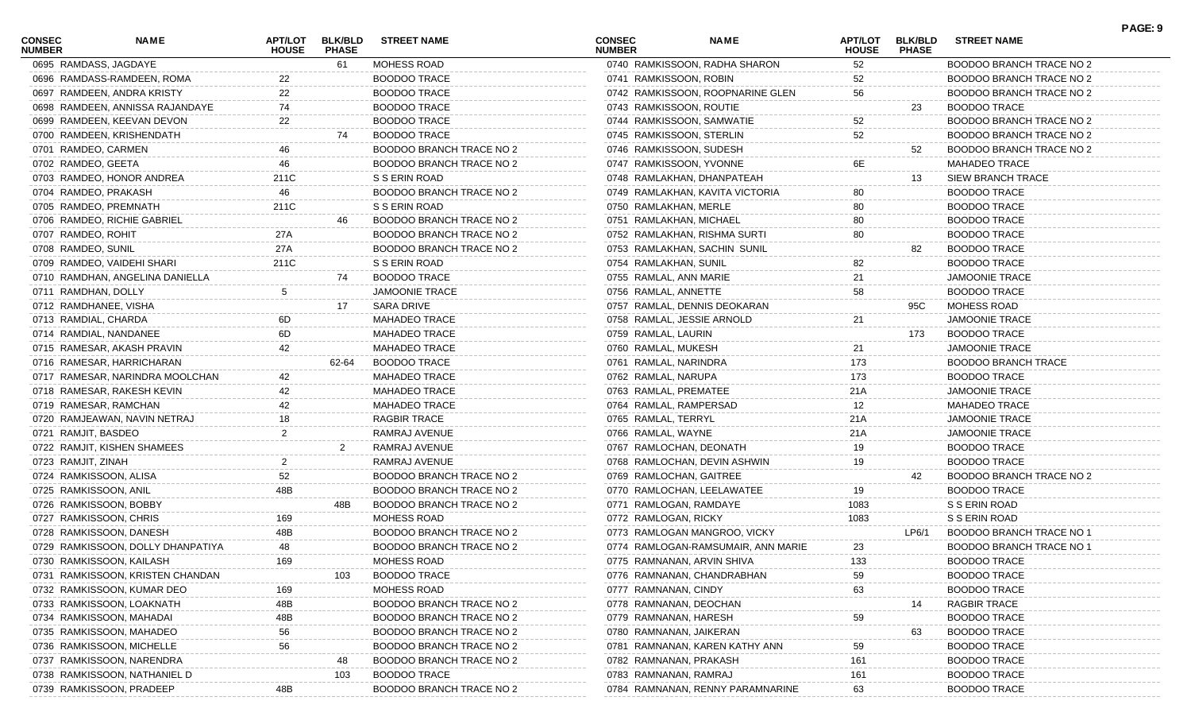| <b>CONSEC</b><br><b>NUMBER</b> | <b>NAME</b>                       | <b>HOUSE</b> | <b>PHASE</b> | APT/LOT BLK/BLD STREET NAME     | <b>CONSEC</b><br><b>NUMBER</b> | <b>NAME</b>                        | APT/LOT<br><b>HOUSE</b> | <b>PHASE</b> | BLK/BLD STREET NAME             | , <u>nul</u> .j |
|--------------------------------|-----------------------------------|--------------|--------------|---------------------------------|--------------------------------|------------------------------------|-------------------------|--------------|---------------------------------|-----------------|
|                                | 0695 RAMDASS, JAGDAYE             |              | 61           | MOHESS ROAD                     |                                | 0740 RAMKISSOON, RADHA SHARON      | 52                      |              | <b>BOODOO BRANCH TRACE NO 2</b> |                 |
|                                | 0696 RAMDASS-RAMDEEN, ROMA        | 22           |              | <b>BOODOO TRACE</b>             |                                | 0741 RAMKISSOON, ROBIN             | 52                      |              | BOODOO BRANCH TRACE NO 2        |                 |
|                                | 0697 RAMDEEN, ANDRA KRISTY        | 22           |              | <b>BOODOO TRACE</b>             |                                | 0742 RAMKISSOON, ROOPNARINE GLEN   | 56                      |              | <b>BOODOO BRANCH TRACE NO 2</b> |                 |
|                                | 0698 RAMDEEN, ANNISSA RAJANDAYE   | 74           |              | <b>BOODOO TRACE</b>             |                                | 0743 RAMKISSOON, ROUTIE            |                         | 23           | <b>BOODOO TRACE</b>             |                 |
|                                | 0699 RAMDEEN, KEEVAN DEVON        | 22           |              | <b>BOODOO TRACE</b>             |                                | 0744 RAMKISSOON, SAMWATIE          | 52                      |              | <b>BOODOO BRANCH TRACE NO 2</b> |                 |
|                                | 0700 RAMDEEN, KRISHENDATH         |              | 74           | <b>BOODOO TRACE</b>             |                                | 0745 RAMKISSOON, STERLIN           | 52                      |              | <b>BOODOO BRANCH TRACE NO 2</b> |                 |
|                                | 0701 RAMDEO, CARMEN               |              |              | <b>BOODOO BRANCH TRACE NO 2</b> |                                | 0746 RAMKISSOON, SUDESH            |                         | 52           | BOODOO BRANCH TRACE NO 2        |                 |
|                                | 0702 RAMDEO, GEETA                | 46           |              | BOODOO BRANCH TRACE NO 2        |                                | 0747 RAMKISSOON, YVONNE            | 6E                      |              | <b>MAHADEO TRACE</b>            |                 |
|                                | 0703 RAMDEO, HONOR ANDREA         | 211C         |              | S S ERIN ROAD                   |                                | 0748 RAMLAKHAN, DHANPATEAH         |                         | 13           | SIEW BRANCH TRACE               |                 |
|                                | 0704 RAMDEO, PRAKASH              | 46           |              | BOODOO BRANCH TRACE NO 2        |                                | 0749 RAMLAKHAN, KAVITA VICTORIA    | 80                      |              | <b>BOODOO TRACE</b>             |                 |
|                                | 0705 RAMDEO, PREMNATH             | 211C         |              | S S ERIN ROAD                   |                                | 0750 RAMLAKHAN, MERLE              | 80                      |              | <b>BOODOO TRACE</b>             |                 |
|                                | 0706 RAMDEO, RICHIE GABRIEL       |              | 46           | BOODOO BRANCH TRACE NO 2        |                                | 0751 RAMLAKHAN, MICHAEL            | 80                      |              | <b>BOODOO TRACE</b>             |                 |
|                                | 0707 RAMDEO, ROHIT                | 27A          |              | BOODOO BRANCH TRACE NO 2        |                                | 0752 RAMLAKHAN, RISHMA SURTI       | 80                      |              | <b>BOODOO TRACE</b>             |                 |
|                                | 0708 RAMDEO, SUNIL                | 27A          |              | BOODOO BRANCH TRACE NO 2        |                                | 0753 RAMLAKHAN, SACHIN SUNIL       |                         | 82           | <b>BOODOO TRACE</b>             |                 |
|                                | 0709 RAMDEO, VAIDEHI SHARI        | 211C         |              | S S ERIN ROAD                   |                                | 0754 RAMLAKHAN, SUNIL              | 82                      |              | <b>BOODOO TRACE</b>             |                 |
|                                | 0710 RAMDHAN, ANGELINA DANIELLA   |              | 74           | <b>BOODOO TRACE</b>             |                                | 0755 RAMLAL, ANN MARIE             | 21                      |              | <b>JAMOONIE TRACE</b>           |                 |
|                                | 0711 RAMDHAN, DOLLY               |              |              | <b>JAMOONIE TRACE</b>           |                                | 0756 RAMLAL, ANNETTE               | 58                      |              | <b>BOODOO TRACE</b>             |                 |
|                                | 0712 RAMDHANEE, VISHA             |              | 17           | <b>SARA DRIVE</b>               |                                | 0757 RAMLAL, DENNIS DEOKARAN       |                         | 95C          | MOHESS ROAD                     |                 |
|                                | 0713 RAMDIAL, CHARDA              | 6D.          |              | <b>MAHADEO TRACE</b>            |                                | 0758 RAMLAL, JESSIE ARNOLD         | 21                      |              | <b>JAMOONIE TRACE</b>           |                 |
|                                | 0714 RAMDIAL, NANDANEE            | 6D           |              | <b>MAHADEO TRACE</b>            | 0759 RAMLAL, LAURIN            |                                    |                         | 173          | <b>BOODOO TRACE</b>             |                 |
|                                | 0715 RAMESAR, AKASH PRAVIN        |              |              | <b>MAHADEO TRACE</b>            | 0760 RAMLAL, MUKESH            |                                    | 21                      |              | <b>JAMOONIE TRACE</b>           |                 |
|                                | 0716 RAMESAR, HARRICHARAN         |              | 62-64        | <b>BOODOO TRACE</b>             |                                | 0761 RAMLAL, NARINDRA              | 173                     |              | <b>BOODOO BRANCH TRACE</b>      |                 |
|                                | 0717 RAMESAR, NARINDRA MOOLCHAN   | 42.          |              | <b>MAHADEO TRACE</b>            | 0762 RAMLAL, NARUPA            |                                    | 173                     |              | <b>BOODOO TRACE</b>             |                 |
|                                | 0718 RAMESAR, RAKESH KEVIN        |              |              | <b>MAHADEO TRACE</b>            |                                | 0763 RAMLAL, PREMATEE              | 21A                     |              | <b>JAMOONIE TRACE</b>           |                 |
|                                | 0719 RAMESAR, RAMCHAN             |              |              | <b>MAHADEO TRACE</b>            |                                | 0764 RAMLAL, RAMPERSAD             | 12                      |              | <b>MAHADEO TRACE</b>            |                 |
|                                | 0720 RAMJEAWAN, NAVIN NETRAJ      | 18           |              | <b>RAGBIR TRACE</b>             | 0765 RAMLAL, TERRYL            |                                    | 21A                     |              | <b>JAMOONIE TRACE</b>           |                 |
|                                | 0721 RAMJIT, BASDEO               |              |              | RAMRAJ AVENUE                   | 0766 RAMLAL, WAYNE             |                                    | 21A                     |              | <b>JAMOONIE TRACE</b>           |                 |
|                                | 0722 RAMJIT, KISHEN SHAMEES       |              |              | RAMRAJ AVENUE                   |                                | 0767 RAMLOCHAN, DEONATH            | 19                      |              | <b>BOODOO TRACE</b>             |                 |
|                                | 0723 RAMJIT, ZINAH                |              |              | RAMRAJ AVENUE                   |                                | 0768 RAMLOCHAN, DEVIN ASHWIN       | 19                      |              | <b>BOODOO TRACE</b>             |                 |
|                                | 0724 RAMKISSOON, ALISA            | 52           |              | BOODOO BRANCH TRACE NO 2        |                                | 0769 RAMLOCHAN, GAITREE            |                         | 42           | <b>BOODOO BRANCH TRACE NO 2</b> |                 |
|                                | 0725 RAMKISSOON, ANIL             |              |              | BOODOO BRANCH TRACE NO 2        |                                | 0770 RAMLOCHAN, LEELAWATEE         | 19                      |              | <b>BOODOO TRACE</b>             |                 |
|                                | 0726 RAMKISSOON, BOBBY            |              | 48B          | BOODOO BRANCH TRACE NO 2        |                                | 0771 RAMLOGAN, RAMDAYE             | 1083                    |              | S S ERIN ROAD                   |                 |
|                                | 0727 RAMKISSOON, CHRIS            | 169          |              | MOHESS ROAD                     |                                | 0772 RAMLOGAN, RICKY               | 1083                    |              | S S ERIN ROAD                   |                 |
|                                | 0728 RAMKISSOON, DANESH           | 48B          |              | <b>BOODOO BRANCH TRACE NO 2</b> |                                | 0773 RAMLOGAN MANGROO, VICKY       |                         | LP6/1        | BOODOO BRANCH TRACE NO 1        |                 |
|                                | 0729 RAMKISSOON, DOLLY DHANPATIYA | 48           |              | BOODOO BRANCH TRACE NO 2        |                                | 0774 RAMLOGAN-RAMSUMAIR, ANN MARIE | 23                      |              | <b>BOODOO BRANCH TRACE NO 1</b> |                 |
|                                | 0730 RAMKISSOON, KAILASH          | 169          |              | MOHESS ROAD                     |                                | 0775 RAMNANAN, ARVIN SHIVA         | 133                     |              | BOODOO TRACE                    |                 |
|                                | 0731 RAMKISSOON, KRISTEN CHANDAN  |              | 103          | <b>BOODOO TRACE</b>             |                                | 0776 RAMNANAN, CHANDRABHAN         | 59                      |              | <b>BOODOO TRACE</b>             |                 |
|                                | 0732 RAMKISSOON, KUMAR DEO        | 169          |              | MOHESS ROAD                     |                                | 0777 RAMNANAN, CINDY               | 63                      |              | <b>BOODOO TRACE</b>             |                 |
|                                | 0733 RAMKISSOON, LOAKNATH         | 48B          |              | <b>BOODOO BRANCH TRACE NO 2</b> |                                | 0778 RAMNANAN, DEOCHAN             |                         | 14           | <b>RAGBIR TRACE</b>             |                 |
|                                | 0734 RAMKISSOON, MAHADAI          | 48B          |              | <b>BOODOO BRANCH TRACE NO 2</b> |                                | 0779 RAMNANAN, HARESH              | 59                      |              | <b>BOODOO TRACE</b>             |                 |
|                                | 0735 RAMKISSOON, MAHADEO          | 56           |              | <b>BOODOO BRANCH TRACE NO 2</b> |                                | 0780 RAMNANAN, JAIKERAN            |                         | 63           | <b>BOODOO TRACE</b>             |                 |
|                                | 0736 RAMKISSOON, MICHELLE         | 56           |              | <b>BOODOO BRANCH TRACE NO 2</b> |                                | 0781 RAMNANAN, KAREN KATHY ANN     | 59                      |              | <b>BOODOO TRACE</b>             |                 |
|                                | 0737 RAMKISSOON, NARENDRA         |              |              | BOODOO BRANCH TRACE NO 2        |                                | 0782 RAMNANAN, PRAKASH             | 161                     |              | <b>BOODOO TRACE</b>             |                 |
|                                | 0738 RAMKISSOON, NATHANIEL D      |              | 103          | <b>BOODOO TRACE</b>             |                                | 0783 RAMNANAN, RAMRAJ              | 161                     |              | <b>BOODOO TRACE</b>             |                 |
|                                | 0739 RAMKISSOON, PRADEEP          | 48B          |              | BOODOO BRANCH TRACE NO 2        |                                | 0784 RAMNANAN, RENNY PARAMNARINE   | 63                      |              | <b>BOODOO TRACE</b>             |                 |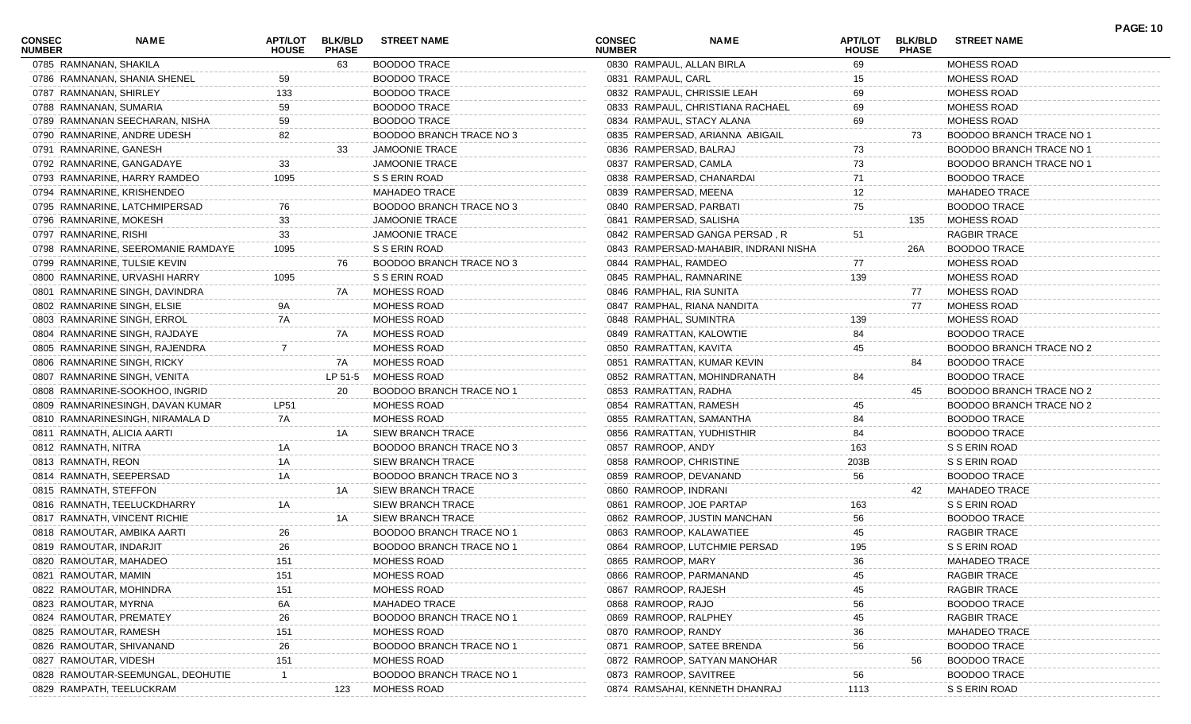| <b>CONSEC</b><br><b>NUMBER</b> | <b>NAME</b>                        | APT/LOT<br><b>HOUSE</b> | <b>BLK/BLD</b><br><b>PHASE</b> | <b>STREET NAME</b>            | <b>CONSEC</b><br><b>NUMBER</b> | <b>NAME</b>                           | <b>APT/LOT</b><br><b>HOUSE</b> | <b>BLK/BLD</b><br><b>PHASE</b> | <b>STREET NAME</b>       | <b>PAGE: 10</b> |
|--------------------------------|------------------------------------|-------------------------|--------------------------------|-------------------------------|--------------------------------|---------------------------------------|--------------------------------|--------------------------------|--------------------------|-----------------|
| 0785 RAMNANAN, SHAKILA         |                                    |                         | 63                             | <b>BOODOO TRACE</b>           | 0830 RAMPAUL, ALLAN BIRLA      |                                       | 69                             |                                | MOHESS ROAD              |                 |
|                                | 0786 RAMNANAN, SHANIA SHENEL       | 59                      |                                | <b>BOODOO TRACE</b>           | 0831 RAMPAUL, CARL             |                                       | 15                             |                                | MOHESS ROAD              |                 |
|                                | 0787 RAMNANAN, SHIRLEY             | 133                     |                                | <b>BOODOO TRACE</b>           |                                | 0832 RAMPAUL, CHRISSIE LEAH           | 69                             |                                | MOHESS ROAD              |                 |
|                                | 0788 RAMNANAN, SUMARIA             | 59                      |                                | <b>BOODOO TRACE</b>           |                                | 0833 RAMPAUL, CHRISTIANA RACHAEL      | 69                             |                                | MOHESS ROAD              |                 |
|                                | 0789 RAMNANAN SEECHARAN, NISHA     | 59                      |                                | <b>BOODOO TRACE</b>           |                                | 0834 RAMPAUL, STACY ALANA             | 69                             |                                | MOHESS ROAD              |                 |
|                                | 0790 RAMNARINE, ANDRE UDESH        | 82                      |                                | BOODOO BRANCH TRACE NO 3      |                                | 0835 RAMPERSAD, ARIANNA ABIGAIL       |                                | 73                             | BOODOO BRANCH TRACE NO 1 |                 |
|                                | 0791 RAMNARINE, GANESH             |                         | 33                             | <b>JAMOONIE TRACE</b>         | 0836 RAMPERSAD, BALRAJ         |                                       | 73                             |                                | BOODOO BRANCH TRACE NO 1 |                 |
|                                | 0792 RAMNARINE, GANGADAYE          | 33                      |                                | <b>JAMOONIE TRACE</b>         | 0837 RAMPERSAD, CAMLA          |                                       | 73                             |                                | BOODOO BRANCH TRACE NO 1 |                 |
|                                | 0793 RAMNARINE, HARRY RAMDEO       | 1095                    |                                | S S ERIN ROAD                 |                                | 0838 RAMPERSAD, CHANARDAI             | 71                             |                                | <b>BOODOO TRACE</b>      |                 |
|                                | 0794 RAMNARINE, KRISHENDEO         |                         |                                | <b>MAHADEO TRACE</b>          | 0839 RAMPERSAD, MEENA          |                                       | 12                             |                                | <b>MAHADEO TRACE</b>     |                 |
|                                | 0795 RAMNARINE, LATCHMIPERSAD      | 76                      |                                | BOODOO BRANCH TRACE NO 3      | 0840 RAMPERSAD, PARBATI        |                                       | 75                             |                                | <b>BOODOO TRACE</b>      |                 |
|                                | 0796 RAMNARINE, MOKESH             | 33                      |                                | <b>JAMOONIE TRACE</b>         | 0841 RAMPERSAD, SALISHA        |                                       |                                | 135                            | <b>MOHESS ROAD</b>       |                 |
| 0797 RAMNARINE, RISHI          |                                    | 33                      |                                | <b>JAMOONIE TRACE</b>         |                                | 0842 RAMPERSAD GANGA PERSAD, R        | 51                             |                                | RAGBIR TRACE             |                 |
|                                | 0798 RAMNARINE, SEEROMANIE RAMDAYE | 1095                    |                                | S S ERIN ROAD                 |                                | 0843 RAMPERSAD-MAHABIR, INDRANI NISHA |                                | 26A                            | <b>BOODOO TRACE</b>      |                 |
|                                | 0799 RAMNARINE, TULSIE KEVIN       |                         | 76                             | BOODOO BRANCH TRACE NO 3      | 0844 RAMPHAL, RAMDEO           |                                       | 77                             |                                | MOHESS ROAD              |                 |
|                                | 0800 RAMNARINE, URVASHI HARRY      | 1095                    |                                | S S ERIN ROAD                 | 0845 RAMPHAL, RAMNARINE        |                                       | 139                            |                                | MOHESS ROAD              |                 |
|                                | 0801 RAMNARINE SINGH, DAVINDRA     |                         | 7A                             | <b>MOHESS ROAD</b>            | 0846 RAMPHAL, RIA SUNITA       |                                       |                                | 77                             | <b>MOHESS ROAD</b>       |                 |
|                                | 0802 RAMNARINE SINGH, ELSIE        | 9A                      |                                | <b>MOHESS ROAD</b>            |                                | 0847 RAMPHAL, RIANA NANDITA           |                                | 77                             | MOHESS ROAD              |                 |
|                                | 0803 RAMNARINE SINGH, ERROL        | 7A                      |                                | MOHESS ROAD                   | 0848 RAMPHAL, SUMINTRA         |                                       | 139                            |                                | MOHESS ROAD              |                 |
|                                | 0804 RAMNARINE SINGH, RAJDAYE      |                         | 7A                             | MOHESS ROAD                   |                                | 0849 RAMRATTAN, KALOWTIE              | 84                             |                                | <b>BOODOO TRACE</b>      |                 |
|                                | 0805 RAMNARINE SINGH, RAJENDRA     |                         |                                | MOHESS ROAD                   | 0850 RAMRATTAN, KAVITA         |                                       | 45                             |                                | BOODOO BRANCH TRACE NO 2 |                 |
|                                | 0806 RAMNARINE SINGH, RICKY        |                         | 7A                             | <b>MOHESS ROAD</b>            |                                | 0851 RAMRATTAN, KUMAR KEVIN           |                                | 84                             | <b>BOODOO TRACE</b>      |                 |
|                                | 0807 RAMNARINE SINGH, VENITA       |                         | LP 51-5                        | MOHESS ROAD                   |                                | 0852 RAMRATTAN, MOHINDRANATH          | 84                             |                                | <b>BOODOO TRACE</b>      |                 |
|                                | 0808 RAMNARINE-SOOKHOO, INGRID     |                         | 20                             | BOODOO BRANCH TRACE NO 1      | 0853 RAMRATTAN, RADHA          |                                       |                                | 45                             | BOODOO BRANCH TRACE NO 2 |                 |
|                                | 0809 RAMNARINESINGH, DAVAN KUMAR   | <b>LP51</b>             |                                | <b>MOHESS ROAD</b>            | 0854 RAMRATTAN, RAMESH         |                                       | 45                             |                                | BOODOO BRANCH TRACE NO 2 |                 |
|                                |                                    | 7A                      |                                |                               |                                |                                       | 84                             |                                |                          |                 |
|                                | 0810 RAMNARINESINGH, NIRAMALA D    |                         | 1A                             | <b>MOHESS ROAD</b>            |                                | 0855 RAMRATTAN, SAMANTHA              | 84                             |                                | <b>BOODOO TRACE</b>      |                 |
|                                | 0811 RAMNATH, ALICIA AARTI         |                         |                                | <b>SIEW BRANCH TRACE</b>      |                                | 0856 RAMRATTAN, YUDHISTHIR            |                                |                                | <b>BOODOO TRACE</b>      |                 |
| 0812 RAMNATH, NITRA            |                                    | 1A                      |                                | BOODOO BRANCH TRACE NO 3      | 0857 RAMROOP, ANDY             |                                       | 163                            |                                | S S ERIN ROAD            |                 |
| 0813 RAMNATH, REON             |                                    | 1A                      |                                | SIEW BRANCH TRACE             | 0858 RAMROOP, CHRISTINE        |                                       | 203B                           |                                | S S ERIN ROAD            |                 |
|                                | 0814 RAMNATH, SEEPERSAD            | 1A                      |                                | BOODOO BRANCH TRACE NO 3      | 0859 RAMROOP, DEVANAND         |                                       | 56                             |                                | <b>BOODOO TRACE</b>      |                 |
| 0815 RAMNATH, STEFFON          |                                    |                         | 1A                             | <b>SIEW BRANCH TRACE</b>      | 0860 RAMROOP, INDRANI          |                                       |                                | 42                             | <b>MAHADEO TRACE</b>     |                 |
|                                | 0816 RAMNATH, TEELUCKDHARRY        | 1Α                      |                                | <b>SIEW BRANCH TRACE</b>      |                                | 0861 RAMROOP, JOE PARTAP              | 163                            |                                | S S ERIN ROAD            |                 |
|                                | 0817 RAMNATH, VINCENT RICHIE       |                         | 1A                             | <b>SIEW BRANCH TRACE</b>      |                                | 0862 RAMROOP, JUSTIN MANCHAN          | 56                             |                                | <b>BOODOO TRACE</b>      |                 |
|                                | 0818 RAMOUTAR, AMBIKA AARTI        | 26                      |                                | BOODOO BRANCH TRACE NO 1      |                                | 0863 RAMROOP, KALAWATIEE              | 45                             |                                | RAGBIR TRACE             |                 |
|                                | 0819 RAMOUTAR, INDARJIT            | 26                      |                                | BOODOO BRANCH TRACE NO 1      |                                | 0864 RAMROOP, LUTCHMIE PERSAD         | 195                            |                                | S S ERIN ROAD            |                 |
|                                | 0820 RAMOUTAR, MAHADEO             | 151                     |                                | MOHESS ROAD                   | 0865 RAMROOP, MARY             |                                       | 36                             |                                | <b>MAHADEO TRACE</b>     |                 |
| 0821 RAMOUTAR, MAMIN           |                                    | 151                     |                                | MOHESS ROAD                   |                                | 0866 RAMROOP, PARMANAND               | 45                             |                                | RAGBIR TRACE             |                 |
|                                | 0822 RAMOUTAR, MOHINDRA            | 151                     |                                | MOHESS ROAD                   | 0867 RAMROOP, RAJESH           |                                       | 45                             |                                | <b>RAGBIR TRACE</b>      |                 |
| 0823 RAMOUTAR, MYRNA           |                                    | 6A                      |                                | <b>MAHADEO TRACE</b>          | 0868 RAMROOP, RAJO             |                                       | 56                             |                                | <b>BOODOO TRACE</b>      |                 |
|                                | 0824 RAMOUTAR, PREMATEY            | 26                      |                                | BOODOO BRANCH TRACE NO        | 0869 RAMROOP, RALPHEY          |                                       | 45                             |                                | <b>RAGBIR TRACE</b>      |                 |
|                                | 0825 RAMOUTAR, RAMESH              | 151                     |                                | MOHESS ROAD                   | 0870 RAMROOP, RANDY            |                                       | 36                             |                                | <b>MAHADEO TRACE</b>     |                 |
|                                | 0826 RAMOUTAR, SHIVANAND           | 26                      |                                | <b>BOODOO BRANCH TRACE NO</b> |                                | 0871 RAMROOP, SATEE BRENDA            | 56                             |                                | <b>BOODOO TRACE</b>      |                 |
| 0827 RAMOUTAR, VIDESH          |                                    | 151                     |                                | MOHESS ROAD                   |                                | 0872 RAMROOP, SATYAN MANOHAR          |                                | 56                             | <b>BOODOO TRACE</b>      |                 |
|                                | 0828 RAMOUTAR-SEEMUNGAL, DEOHUTIE  |                         |                                | BOODOO BRANCH TRACE NO        | 0873 RAMROOP, SAVITREE         |                                       | 56                             |                                | <b>BOODOO TRACE</b>      |                 |
|                                | 0829 RAMPATH, TEELUCKRAM           |                         | 123                            | MOHESS ROAD                   |                                | 0874 RAMSAHAI, KENNETH DHANRAJ        | 1113                           |                                | S S ERIN ROAD            |                 |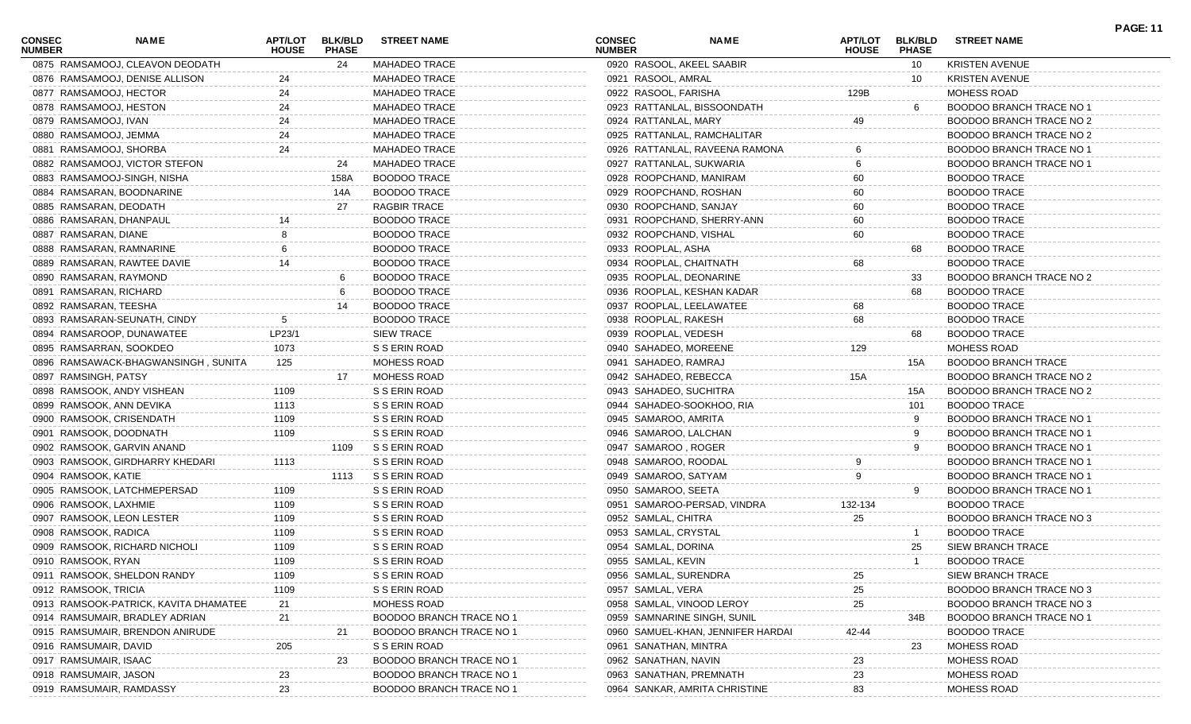| <b>CONSEC</b><br><b>NUMBER</b> | NAME                                  | APT/LOT<br><b>HOUSE</b> | <b>BLK/BLD</b><br><b>PHASE</b> | <b>STREET NAME</b>              | <b>CONSEC</b><br><b>NUMBER</b> | <b>NAME</b>                       | <b>APT/LOT</b><br><b>HOUSE</b> | <b>BLK/BLD</b><br><b>PHASE</b> | <b>STREET NAME</b>         | <b>PAGE: 11</b> |
|--------------------------------|---------------------------------------|-------------------------|--------------------------------|---------------------------------|--------------------------------|-----------------------------------|--------------------------------|--------------------------------|----------------------------|-----------------|
|                                | 0875 RAMSAMOOJ, CLEAVON DEODATH       |                         | -24                            | <b>MAHADEO TRACE</b>            |                                | 0920 RASOOL, AKEEL SAABIR         |                                | 10                             | <b>KRISTEN AVENUE</b>      |                 |
|                                | 0876 RAMSAMOOJ, DENISE ALLISON        | 24                      |                                | <b>MAHADEO TRACE</b>            | 0921 RASOOL, AMRAL             |                                   |                                | 10                             | <b>KRISTEN AVENUE</b>      |                 |
| 0877 RAMSAMOOJ, HECTOR         |                                       | 24                      |                                | MAHADEO TRACE                   | 0922 RASOOL, FARISHA           |                                   | 129B                           |                                | MOHESS ROAD                |                 |
| 0878 RAMSAMOOJ, HESTON         |                                       | 24                      |                                | <b>MAHADEO TRACE</b>            |                                | 0923 RATTANLAL, BISSOONDATH       |                                | 6                              | BOODOO BRANCH TRACE NO 1   |                 |
| 0879 RAMSAMOOJ, IVAN           |                                       | 24                      |                                | <b>MAHADEO TRACE</b>            | 0924 RATTANLAL, MARY           |                                   | 49                             |                                | BOODOO BRANCH TRACE NO 2   |                 |
| 0880 RAMSAMOOJ, JEMMA          |                                       | 24                      |                                | <b>MAHADEO TRACE</b>            |                                | 0925 RATTANLAL, RAMCHALITAR       |                                |                                | BOODOO BRANCH TRACE NO 2   |                 |
| 0881 RAMSAMOOJ, SHORBA         |                                       | 24                      |                                | <b>MAHADEO TRACE</b>            |                                | 0926 RATTANLAL, RAVEENA RAMONA    |                                |                                | BOODOO BRANCH TRACE NO 1   |                 |
|                                | 0882 RAMSAMOOJ, VICTOR STEFON         |                         | 24                             | MAHADEO TRACE                   |                                | 0927 RATTANLAL, SUKWARIA          |                                |                                | BOODOO BRANCH TRACE NO 1   |                 |
|                                | 0883 RAMSAMOOJ-SINGH, NISHA           |                         | 158A                           | <b>BOODOO TRACE</b>             |                                | 0928 ROOPCHAND, MANIRAM           | 60                             |                                | <b>BOODOO TRACE</b>        |                 |
|                                | 0884 RAMSARAN, BOODNARINE             |                         | 14A                            | <b>BOODOO TRACE</b>             |                                | 0929 ROOPCHAND, ROSHAN            | 60                             |                                | <b>BOODOO TRACE</b>        |                 |
| 0885 RAMSARAN, DEODATH         |                                       |                         | 27                             | <b>RAGBIR TRACE</b>             |                                | 0930 ROOPCHAND, SANJAY            | 60                             |                                | <b>BOODOO TRACE</b>        |                 |
|                                | 0886 RAMSARAN, DHANPAUL               |                         |                                | <b>BOODOO TRACE</b>             |                                | 0931 ROOPCHAND, SHERRY-ANN        | 60                             |                                | <b>BOODOO TRACE</b>        |                 |
| 0887 RAMSARAN, DIANE           |                                       |                         |                                | <b>BOODOO TRACE</b>             |                                | 0932 ROOPCHAND, VISHAL            | 60                             |                                | <b>BOODOO TRACE</b>        |                 |
|                                | 0888 RAMSARAN, RAMNARINE              |                         |                                | <b>BOODOO TRACE</b>             | 0933 ROOPLAL, ASHA             |                                   |                                | 68                             | <b>BOODOO TRACE</b>        |                 |
|                                | 0889 RAMSARAN, RAWTEE DAVIE           |                         |                                | <b>BOODOO TRACE</b>             |                                | 0934 ROOPLAL, CHAITNATH           | 68                             |                                | <b>BOODOO TRACE</b>        |                 |
| 0890 RAMSARAN, RAYMOND         |                                       |                         |                                | <b>BOODOO TRACE</b>             |                                | 0935 ROOPLAL, DEONARINE           |                                | 33                             | BOODOO BRANCH TRACE NO 2   |                 |
| 0891 RAMSARAN, RICHARD         |                                       |                         |                                | <b>BOODOO TRACE</b>             |                                | 0936 ROOPLAL, KESHAN KADAR        |                                | 68                             | <b>BOODOO TRACE</b>        |                 |
| 0892 RAMSARAN, TEESHA          |                                       |                         | 14                             | <b>BOODOO TRACE</b>             |                                | 0937 ROOPLAL, LEELAWATEE          | 68                             |                                | <b>BOODOO TRACE</b>        |                 |
|                                | 0893 RAMSARAN-SEUNATH, CINDY          |                         |                                | <b>BOODOO TRACE</b>             | 0938 ROOPLAL, RAKESH           |                                   | 68                             |                                | <b>BOODOO TRACE</b>        |                 |
|                                | 0894 RAMSAROOP, DUNAWATEE             | LP23/1                  |                                | <b>SIEW TRACE</b>               | 0939 ROOPLAL, VEDESH           |                                   |                                | 68                             | <b>BOODOO TRACE</b>        |                 |
|                                | 0895 RAMSARRAN, SOOKDEO               | 1073                    |                                | S S ERIN ROAD                   |                                | 0940 SAHADEO, MOREENE             | 129                            |                                | MOHESS ROAD                |                 |
|                                | 0896 RAMSAWACK-BHAGWANSINGH, SUNITA   | 125                     |                                | MOHESS ROAD                     | 0941 SAHADEO, RAMRAJ           |                                   |                                | 15A                            | <b>BOODOO BRANCH TRACE</b> |                 |
| 0897 RAMSINGH, PATSY           |                                       |                         | 17                             | MOHESS ROAD                     |                                | 0942 SAHADEO, REBECCA             | 15A                            |                                | BOODOO BRANCH TRACE NO 2   |                 |
|                                | 0898 RAMSOOK, ANDY VISHEAN            | 1109                    |                                | S S ERIN ROAD                   |                                | 0943 SAHADEO, SUCHITRA            |                                | 15A                            | BOODOO BRANCH TRACE NO 2   |                 |
|                                | 0899 RAMSOOK, ANN DEVIKA              | 1113                    |                                | S S ERIN ROAD                   |                                | 0944 SAHADEO-SOOKHOO, RIA         |                                | 101                            | <b>BOODOO TRACE</b>        |                 |
|                                | 0900 RAMSOOK, CRISENDATH              | 1109                    |                                | S S ERIN ROAD                   | 0945 SAMAROO, AMRITA           |                                   |                                | 9                              | BOODOO BRANCH TRACE NO 1   |                 |
|                                | 0901 RAMSOOK, DOODNATH                | 1109                    |                                | S S ERIN ROAD                   |                                | 0946 SAMAROO, LALCHAN             |                                | 9                              | BOODOO BRANCH TRACE NO 1   |                 |
|                                | 0902 RAMSOOK, GARVIN ANAND            |                         | 1109                           | S S ERIN ROAD                   | 0947 SAMAROO, ROGER            |                                   |                                | 9                              | BOODOO BRANCH TRACE NO 1   |                 |
|                                | 0903 RAMSOOK, GIRDHARRY KHEDARI       | 1113                    |                                | S S ERIN ROAD                   | 0948 SAMAROO, ROODAL           |                                   |                                |                                | BOODOO BRANCH TRACE NO 1   |                 |
| 0904 RAMSOOK, KATIE            |                                       |                         | 1113                           | S S ERIN ROAD                   | 0949 SAMAROO, SATYAM           |                                   | 9                              |                                | BOODOO BRANCH TRACE NO 1   |                 |
|                                | 0905 RAMSOOK, LATCHMEPERSAD           | 1109                    |                                | S S ERIN ROAD                   | 0950 SAMAROO, SEETA            |                                   |                                | 9                              | BOODOO BRANCH TRACE NO 1   |                 |
| 0906 RAMSOOK, LAXHMIE          |                                       | 1109                    |                                | S S ERIN ROAD                   |                                | 0951 SAMAROO-PERSAD, VINDRA       | 132-134                        |                                | <b>BOODOO TRACE</b>        |                 |
|                                | 0907 RAMSOOK, LEON LESTER             | 1109                    |                                | S S ERIN ROAD                   | 0952 SAMLAL, CHITRA            |                                   | 25                             |                                | BOODOO BRANCH TRACE NO 3   |                 |
| 0908 RAMSOOK, RADICA           |                                       | 1109                    |                                | S S ERIN ROAD                   | 0953 SAMLAL, CRYSTAL           |                                   |                                |                                | <b>BOODOO TRACE</b>        |                 |
|                                | 0909 RAMSOOK, RICHARD NICHOLI         | 1109                    |                                | S S ERIN ROAD                   | 0954 SAMLAL, DORINA            |                                   |                                | 25                             | SIEW BRANCH TRACE          |                 |
| 0910 RAMSOOK, RYAN             |                                       | 1109                    |                                | S S ERIN ROAD                   | 0955 SAMLAL, KEVIN             |                                   |                                |                                | <b>BOODOO TRACE</b>        |                 |
|                                | 0911 RAMSOOK, SHELDON RANDY           | 1109                    |                                | S S ERIN ROAD                   | 0956 SAMLAL, SURENDRA          |                                   | 25                             |                                | SIEW BRANCH TRACE          |                 |
| 0912 RAMSOOK, TRICIA           |                                       | 1109                    |                                | S S ERIN ROAD                   | 0957 SAMLAL, VERA              |                                   | 25                             |                                | BOODOO BRANCH TRACE NO 3   |                 |
|                                | 0913 RAMSOOK-PATRICK, KAVITA DHAMATEE | 21                      |                                | MOHESS ROAD                     |                                | 0958 SAMLAL, VINOOD LEROY         | 25                             |                                | BOODOO BRANCH TRACE NO 3   |                 |
|                                | 0914 RAMSUMAIR, BRADLEY ADRIAN        | 21                      |                                | <b>BOODOO BRANCH TRACE NO 1</b> |                                | 0959 SAMNARINE SINGH, SUNIL       |                                | 34B                            | BOODOO BRANCH TRACE NO 1   |                 |
|                                | 0915 RAMSUMAIR, BRENDON ANIRUDE       |                         | 21                             | BOODOO BRANCH TRACE NO 1        |                                | 0960 SAMUEL-KHAN, JENNIFER HARDAI | 42-44                          |                                | <b>BOODOO TRACE</b>        |                 |
| 0916 RAMSUMAIR, DAVID          |                                       | 205                     |                                | S S ERIN ROAD                   | 0961 SANATHAN, MINTRA          |                                   |                                | 23                             | MOHESS ROAD                |                 |
| 0917 RAMSUMAIR, ISAAC          |                                       |                         | 23                             | BOODOO BRANCH TRACE NO 1        | 0962 SANATHAN, NAVIN           |                                   | 23                             |                                | MOHESS ROAD                |                 |
| 0918 RAMSUMAIR, JASON          |                                       | 23                      |                                | BOODOO BRANCH TRACE NO 1        |                                | 0963 SANATHAN, PREMNATH           | 23                             |                                | MOHESS ROAD                |                 |
|                                | 0919 RAMSUMAIR, RAMDASSY              | 23                      |                                | BOODOO BRANCH TRACE NO 1        |                                | 0964 SANKAR, AMRITA CHRISTINE     | 83                             |                                | MOHESS ROAD                |                 |
|                                |                                       |                         |                                |                                 |                                |                                   |                                |                                |                            |                 |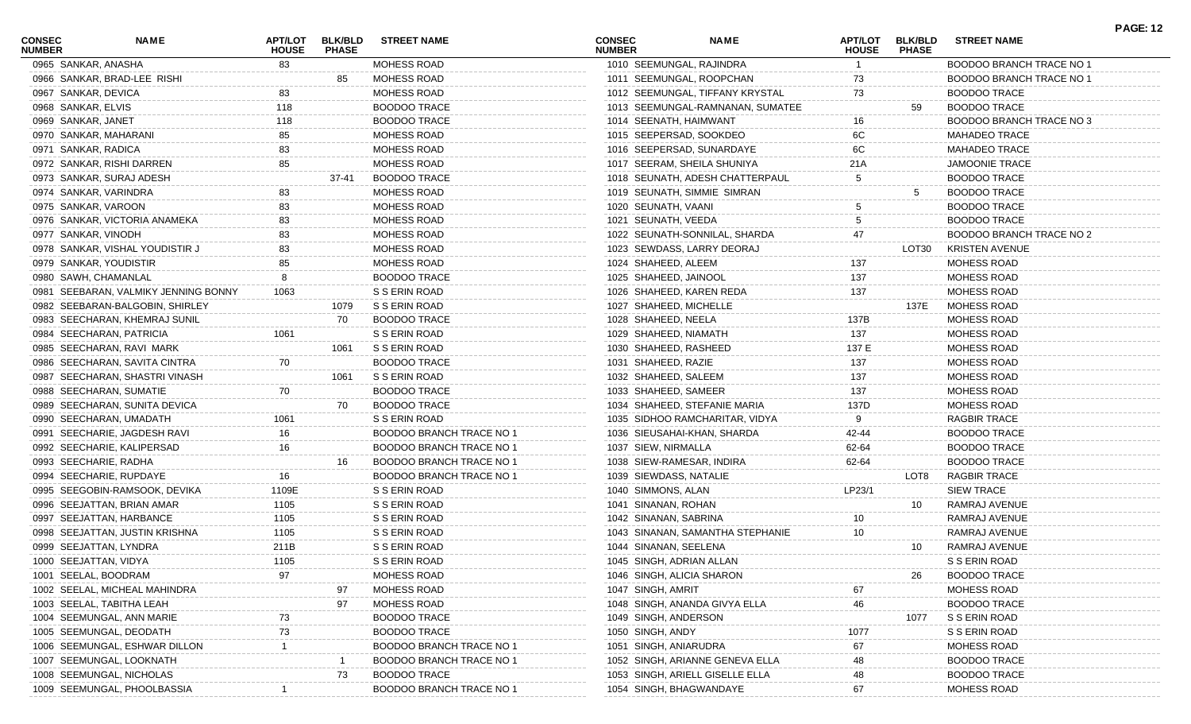| CONSEC<br><b>NUMBER</b> | <b>NAME</b>                          | <b>APT/LOT</b><br><b>HOUSE</b> | <b>BLK/BLD</b><br><b>PHASE</b> | <b>STREET NAME</b>              | <b>CONSEC</b><br><b>NUMBER</b> |                           | <b>NAME</b>                      | <b>APT/LOT</b><br><b>HOUSE</b> | <b>BLK/BLD</b><br><b>PHASE</b> | <b>STREET NAME</b>       | <b>PAGE: 12</b> |
|-------------------------|--------------------------------------|--------------------------------|--------------------------------|---------------------------------|--------------------------------|---------------------------|----------------------------------|--------------------------------|--------------------------------|--------------------------|-----------------|
| 0965 SANKAR, ANASHA     |                                      | 83                             |                                | MOHESS ROAD                     |                                | 1010 SEEMUNGAL, RAJINDRA  |                                  |                                |                                | BOODOO BRANCH TRACE NO 1 |                 |
|                         | 0966 SANKAR, BRAD-LEE RISHI          |                                | 85                             | MOHESS ROAD                     |                                |                           | 1011 SEEMUNGAL, ROOPCHAN         | 73                             |                                | BOODOO BRANCH TRACE NO 1 |                 |
| 0967 SANKAR, DEVICA     |                                      | 83                             |                                | MOHESS ROAD                     |                                |                           | 1012 SEEMUNGAL, TIFFANY KRYSTAL  | 73                             |                                | <b>BOODOO TRACE</b>      |                 |
| 0968 SANKAR, ELVIS      |                                      | 118                            |                                | <b>BOODOO TRACE</b>             |                                |                           | 1013 SEEMUNGAL-RAMNANAN, SUMATEE |                                | 59                             | <b>BOODOO TRACE</b>      |                 |
| 0969 SANKAR, JANET      |                                      | 118                            |                                | <b>BOODOO TRACE</b>             |                                | 1014 SEENATH, HAIMWANT    |                                  | 16                             |                                | BOODOO BRANCH TRACE NO 3 |                 |
| 0970 SANKAR, MAHARANI   |                                      | 85                             |                                | MOHESS ROAD                     |                                | 1015 SEEPERSAD, SOOKDEO   |                                  | 6C                             |                                | <b>MAHADEO TRACE</b>     |                 |
| 0971 SANKAR, RADICA     |                                      | 83                             |                                | MOHESS ROAD                     |                                |                           | 1016 SEEPERSAD, SUNARDAYE        | 6C                             |                                | <b>MAHADEO TRACE</b>     |                 |
|                         | 0972 SANKAR, RISHI DARREN            | 85                             |                                | MOHESS ROAD                     |                                |                           | 1017 SEERAM, SHEILA SHUNIYA      | 21A                            |                                | <b>JAMOONIE TRACE</b>    |                 |
|                         | 0973 SANKAR, SURAJ ADESH             |                                | 37-41                          | <b>BOODOO TRACE</b>             |                                |                           | 1018 SEUNATH, ADESH CHATTERPAUL  | $\frac{5}{1}$                  |                                | <b>BOODOO TRACE</b>      |                 |
| 0974 SANKAR, VARINDRA   |                                      | 83                             |                                | MOHESS ROAD                     |                                |                           | 1019 SEUNATH, SIMMIE SIMRAN      |                                | 5                              | <b>BOODOO TRACE</b>      |                 |
| 0975 SANKAR, VAROON     |                                      | 83                             |                                | MOHESS ROAD                     |                                | 1020 SEUNATH, VAANI       |                                  |                                |                                | <b>BOODOO TRACE</b>      |                 |
|                         | 0976 SANKAR, VICTORIA ANAMEKA        | 83                             |                                | <b>MOHESS ROAD</b>              |                                | 1021 SEUNATH, VEEDA       |                                  |                                |                                | <b>BOODOO TRACE</b>      |                 |
| 0977 SANKAR, VINODH     |                                      |                                |                                | MOHESS ROAD                     |                                |                           | 1022 SEUNATH-SONNILAL, SHARDA    |                                |                                | BOODOO BRANCH TRACE NO 2 |                 |
|                         | 0978 SANKAR, VISHAL YOUDISTIR J      |                                |                                | MOHESS ROAD                     |                                |                           | 1023 SEWDASS, LARRY DEORAJ       |                                | LOT30                          | KRISTEN AVENUE           |                 |
| 0979 SANKAR, YOUDISTIR  |                                      |                                |                                | MOHESS ROAD                     |                                | 1024 SHAHEED, ALEEM       |                                  | 137                            |                                | MOHESS ROAD              |                 |
| 0980 SAWH, CHAMANLAL    |                                      |                                |                                | <b>BOODOO TRACE</b>             |                                | 1025 SHAHEED, JAINOOL     |                                  | 137                            |                                | MOHESS ROAD              |                 |
|                         | 0981 SEEBARAN, VALMIKY JENNING BONNY | 1063                           |                                | S S ERIN ROAD                   |                                | 1026 SHAHEED, KAREN REDA  |                                  | 137                            |                                | MOHESS ROAD              |                 |
|                         | 0982 SEEBARAN-BALGOBIN, SHIRLEY      |                                | 1079                           | S S ERIN ROAD                   |                                | 1027 SHAHEED, MICHELLE    |                                  |                                | 137E                           | MOHESS ROAD              |                 |
|                         | 0983 SEECHARAN, KHEMRAJ SUNIL        |                                | 70                             | <b>BOODOO TRACE</b>             |                                | 1028 SHAHEED, NEELA       |                                  | 137B                           |                                | MOHESS ROAD              |                 |
|                         | 0984 SEECHARAN, PATRICIA             | 1061                           |                                | S S ERIN ROAD                   |                                | 1029 SHAHEED, NIAMATH     |                                  | 137                            |                                | MOHESS ROAD              |                 |
|                         | 0985 SEECHARAN, RAVI MARK            |                                | 1061                           | S S ERIN ROAD                   |                                | 1030 SHAHEED, RASHEED     |                                  | 137 E                          |                                | <b>MOHESS ROAD</b>       |                 |
|                         | 0986 SEECHARAN, SAVITA CINTRA        | 70                             |                                | <b>BOODOO TRACE</b>             |                                | 1031 SHAHEED, RAZIE       |                                  | 137                            |                                | <b>MOHESS ROAD</b>       |                 |
|                         | 0987 SEECHARAN, SHASTRI VINASH       |                                | 1061                           | S S ERIN ROAD                   |                                | 1032 SHAHEED, SALEEM      |                                  | 137                            |                                | MOHESS ROAD              |                 |
|                         | 0988 SEECHARAN, SUMATIE              | 70                             |                                | <b>BOODOO TRACE</b>             |                                | 1033 SHAHEED, SAMEER      |                                  | 137                            |                                | MOHESS ROAD              |                 |
|                         | 0989 SEECHARAN, SUNITA DEVICA        |                                | 70                             | <b>BOODOO TRACE</b>             |                                |                           | 1034 SHAHEED, STEFANIE MARIA     | 137D                           |                                | MOHESS ROAD              |                 |
|                         | 0990 SEECHARAN, UMADATH              | 1061                           |                                | S S ERIN ROAD                   |                                |                           | 1035 SIDHOO RAMCHARITAR, VIDYA   |                                |                                | <b>RAGBIR TRACE</b>      |                 |
|                         | 0991 SEECHARIE, JAGDESH RAVI         |                                |                                | BOODOO BRANCH TRACE NO 1        |                                |                           | 1036 SIEUSAHAI-KHAN, SHARDA      | 42-44                          |                                | <b>BOODOO TRACE</b>      |                 |
|                         |                                      | 16                             |                                |                                 |                                |                           |                                  |                                |                                | <b>BOODOO TRACE</b>      |                 |
|                         | 0992 SEECHARIE, KALIPERSAD           | 16                             |                                | BOODOO BRANCH TRACE NO 1        |                                | 1037 SIEW, NIRMALLA       |                                  | 62-64                          |                                |                          |                 |
| 0993 SEECHARIE, RADHA   |                                      |                                | 16                             | BOODOO BRANCH TRACE NO 1        |                                | 1038 SIEW-RAMESAR, INDIRA |                                  | 62-64                          |                                | <b>BOODOO TRACE</b>      |                 |
|                         | 0994 SEECHARIE, RUPDAYE              |                                |                                | <b>BOODOO BRANCH TRACE NO 1</b> |                                | 1039 SIEWDASS, NATALIE    |                                  |                                | LOT8                           | <b>RAGBIR TRACE</b>      |                 |
|                         | 0995 SEEGOBIN-RAMSOOK, DEVIKA        | 1109E                          |                                | S S ERIN ROAD                   |                                | 1040 SIMMONS, ALAN        |                                  | LP23/1                         |                                | <b>SIEW TRACE</b>        |                 |
|                         | 0996 SEEJATTAN, BRIAN AMAR           | 1105                           |                                | S S ERIN ROAD                   |                                | 1041 SINANAN, ROHAN       |                                  |                                | 10                             | RAMRAJ AVENUE            |                 |
|                         | 0997 SEEJATTAN, HARBANCE             | 1105                           |                                | S S ERIN ROAD                   |                                | 1042 SINANAN, SABRINA     |                                  | 10                             |                                | RAMRAJ AVENUE            |                 |
|                         | 0998 SEEJATTAN, JUSTIN KRISHNA       | 1105                           |                                | S S ERIN ROAD                   |                                |                           | 1043 SINANAN, SAMANTHA STEPHANIE | 10                             |                                | RAMRAJ AVENUE            |                 |
| 0999 SEEJATTAN, LYNDRA  |                                      | 211B                           |                                | S S ERIN ROAD                   |                                | 1044 SINANAN, SEELENA     |                                  |                                | 10                             | RAMRAJ AVENUE            |                 |
| 1000 SEEJATTAN, VIDYA   |                                      | 1105                           |                                | S S ERIN ROAD                   |                                | 1045 SINGH, ADRIAN ALLAN  |                                  |                                |                                | S S ERIN ROAD            |                 |
| 1001 SEELAL, BOODRAM    |                                      |                                |                                | MOHESS ROAD                     |                                | 1046 SINGH, ALICIA SHARON |                                  |                                | 26                             | <b>BOODOO TRACE</b>      |                 |
|                         | 1002 SEELAL, MICHEAL MAHINDRA        |                                | 97                             | MOHESS ROAD                     |                                | 1047 SINGH, AMRIT         |                                  | 67                             |                                | MOHESS ROAD              |                 |
|                         | 1003 SEELAL, TABITHA LEAH            |                                | 97                             | MOHESS ROAD                     |                                |                           | 1048 SINGH, ANANDA GIVYA ELLA    | 46                             |                                | <b>BOODOO TRACE</b>      |                 |
|                         | 1004 SEEMUNGAL, ANN MARIE            |                                |                                | <b>BOODOO TRACE</b>             |                                | 1049 SINGH, ANDERSON      |                                  |                                | 1077                           | S S ERIN ROAD            |                 |
|                         | 1005 SEEMUNGAL, DEODATH              |                                |                                | <b>BOODOO TRACE</b>             |                                | 1050 SINGH, ANDY          |                                  | 1077                           |                                | S S ERIN ROAD            |                 |
|                         | 1006 SEEMUNGAL, ESHWAR DILLON        |                                |                                | BOODOO BRANCH TRACE NO          |                                | 1051 SINGH, ANIARUDRA     |                                  | 67                             |                                | MOHESS ROAD              |                 |
|                         | 1007 SEEMUNGAL, LOOKNATH             |                                |                                | <b>BOODOO BRANCH TRACE NO 1</b> |                                |                           | 1052 SINGH, ARIANNE GENEVA ELLA  | 48                             |                                | <b>BOODOO TRACE</b>      |                 |
|                         | 1008 SEEMUNGAL, NICHOLAS             |                                | 73                             | <b>BOODOO TRACE</b>             |                                |                           | 1053 SINGH, ARIELL GISELLE ELLA  | 48                             |                                | <b>BOODOO TRACE</b>      |                 |
|                         | 1009 SEEMUNGAL, PHOOLBASSIA          |                                |                                | <b>BOODOO BRANCH TRACE NO</b>   |                                | 1054 SINGH, BHAGWANDAYE   |                                  | 67                             |                                | MOHESS ROAD              |                 |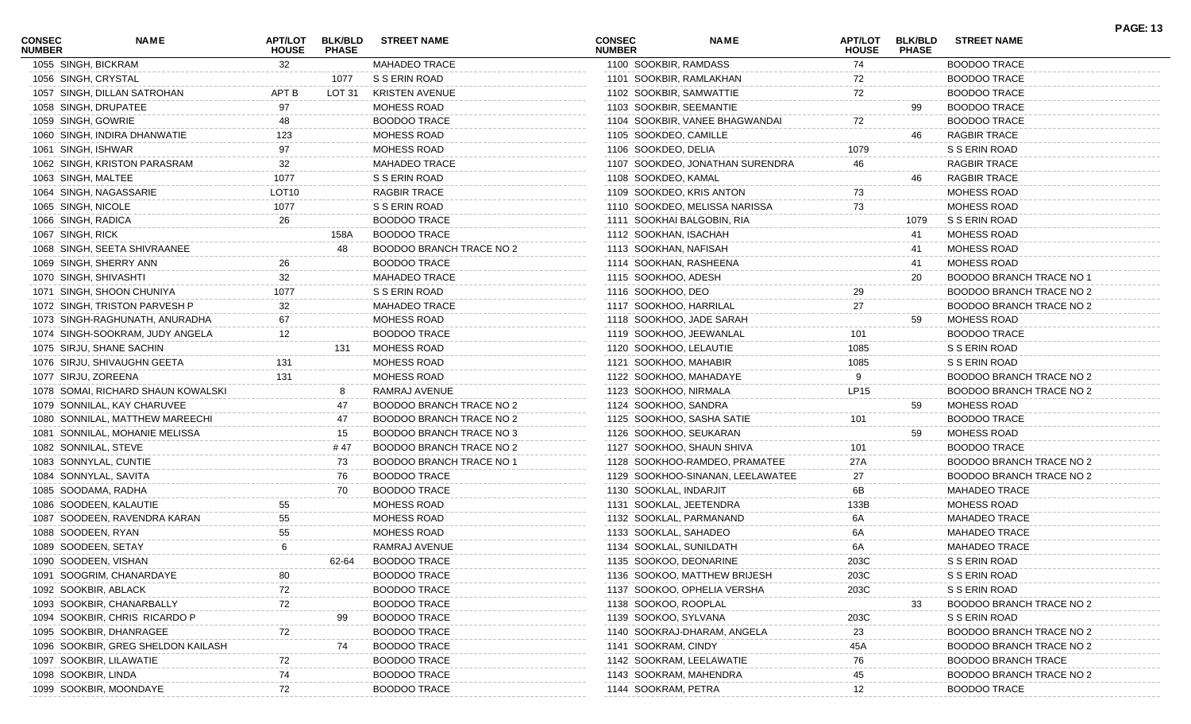| <b>CONSEC</b><br><b>NUMBER</b> | NAME                               | APT/LOT<br><b>HOUSE</b> | <b>BLK/BLD</b><br><b>PHASE</b> | <b>STREET NAME</b>       | <b>CONSEC</b><br><b>NUMBER</b> |                          | <b>NAME</b>                      | APT/LOT<br><b>HOUSE</b> | <b>BLK/BLD</b><br><b>PHASE</b> | <b>STREET NAME</b>              | <b>PAGE: 13</b> |
|--------------------------------|------------------------------------|-------------------------|--------------------------------|--------------------------|--------------------------------|--------------------------|----------------------------------|-------------------------|--------------------------------|---------------------------------|-----------------|
| 1055 SINGH, BICKRAM            |                                    | 32                      |                                | MAHADEO TRACE            |                                | 1100 SOOKBIR, RAMDASS    |                                  | 74                      |                                | <b>BOODOO TRACE</b>             |                 |
| 1056 SINGH, CRYSTAL            |                                    |                         | 1077                           | S S ERIN ROAD            |                                | 1101 SOOKBIR, RAMLAKHAN  |                                  | 72                      |                                | <b>BOODOO TRACE</b>             |                 |
|                                | 1057 SINGH, DILLAN SATROHAN        | APT B                   | LOT 31                         | <b>KRISTEN AVENUE</b>    |                                | 1102 SOOKBIR, SAMWATTIE  |                                  | 72                      |                                | <b>BOODOO TRACE</b>             |                 |
|                                | 1058 SINGH, DRUPATEE               | 97                      |                                | MOHESS ROAD              |                                | 1103 SOOKBIR, SEEMANTIE  |                                  |                         | 99                             | <b>BOODOO TRACE</b>             |                 |
| 1059 SINGH, GOWRIE             |                                    | 48                      |                                | <b>BOODOO TRACE</b>      |                                |                          | 1104 SOOKBIR, VANEE BHAGWANDAI   | 72                      |                                | <b>BOODOO TRACE</b>             |                 |
|                                | 1060 SINGH, INDIRA DHANWATIE       | 123                     |                                | MOHESS ROAD              |                                | 1105 SOOKDEO, CAMILLE    |                                  |                         | 46.                            | RAGBIR TRACE                    |                 |
| 1061 SINGH, ISHWAR             |                                    | 97                      |                                | MOHESS ROAD              |                                | 1106 SOOKDEO, DELIA      |                                  | 1079                    |                                | S S ERIN ROAD                   |                 |
|                                | 1062 SINGH, KRISTON PARASRAM       | 32                      |                                | <b>MAHADEO TRACE</b>     |                                |                          | 1107 SOOKDEO, JONATHAN SURENDRA  | 46                      |                                | <b>RAGBIR TRACE</b>             |                 |
| 1063 SINGH, MALTEE             |                                    | 1077                    |                                | S S ERIN ROAD            |                                | 1108 SOOKDEO, KAMAL      |                                  |                         | 46                             | <b>RAGBIR TRACE</b>             |                 |
|                                | 1064 SINGH, NAGASSARIE             | LOT <sub>10</sub>       |                                | <b>RAGBIR TRACE</b>      |                                | 1109 SOOKDEO, KRIS ANTON |                                  | 73                      |                                | MOHESS ROAD                     |                 |
| 1065 SINGH, NICOLE             |                                    | 1077                    |                                | S S ERIN ROAD            |                                |                          | 1110 SOOKDEO, MELISSA NARISSA    | 73                      |                                | MOHESS ROAD                     |                 |
| 1066 SINGH, RADICA             |                                    | 26                      |                                | <b>BOODOO TRACE</b>      |                                |                          | 1111 SOOKHAI BALGOBIN, RIA       |                         | 1079                           | S S ERIN ROAD                   |                 |
| 1067 SINGH, RICK               |                                    |                         | 158A                           | <b>BOODOO TRACE</b>      |                                | 1112 SOOKHAN, ISACHAH    |                                  |                         | 41                             | MOHESS ROAD                     |                 |
|                                | 1068 SINGH, SEETA SHIVRAANEE       |                         | 48                             | BOODOO BRANCH TRACE NO 2 |                                | 1113 SOOKHAN, NAFISAH    |                                  |                         | 41                             | MOHESS ROAD                     |                 |
|                                | 1069 SINGH, SHERRY ANN             | 26                      |                                | <b>BOODOO TRACE</b>      |                                | 1114 SOOKHAN, RASHEENA   |                                  |                         | 41                             | <b>MOHESS ROAD</b>              |                 |
| 1070 SINGH, SHIVASHTI          |                                    | 32                      |                                | <b>MAHADEO TRACE</b>     |                                | 1115 SOOKHOO, ADESH      |                                  |                         | 20                             | BOODOO BRANCH TRACE NO 1        |                 |
|                                | 1071 SINGH, SHOON CHUNIYA          | 1077                    |                                | S S ERIN ROAD            |                                | 1116 SOOKHOO, DEO        |                                  | 29                      |                                | BOODOO BRANCH TRACE NO 2        |                 |
|                                | 1072 SINGH, TRISTON PARVESH P      | 32                      |                                | <b>MAHADEO TRACE</b>     |                                | 1117 SOOKHOO, HARRILAL   |                                  | 27                      |                                | BOODOO BRANCH TRACE NO 2        |                 |
|                                | 1073 SINGH-RAGHUNATH, ANURADHA     | 67                      |                                | MOHESS ROAD              |                                |                          | 1118 SOOKHOO, JADE SARAH         |                         | 59                             | MOHESS ROAD                     |                 |
|                                | 1074 SINGH-SOOKRAM, JUDY ANGELA    | 12                      |                                | <b>BOODOO TRACE</b>      |                                | 1119 SOOKHOO, JEEWANLAL  |                                  | 101                     |                                | <b>BOODOO TRACE</b>             |                 |
|                                | 1075 SIRJU, SHANE SACHIN           |                         | 131                            | MOHESS ROAD              |                                | 1120 SOOKHOO, LELAUTIE   |                                  | 1085                    |                                | S S ERIN ROAD                   |                 |
|                                | 1076 SIRJU, SHIVAUGHN GEETA        | 131                     |                                | MOHESS ROAD              |                                | 1121 SOOKHOO, MAHABIR    |                                  | 1085                    |                                | S S ERIN ROAD                   |                 |
| 1077 SIRJU, ZOREENA            |                                    | 131                     |                                | MOHESS ROAD              |                                | 1122 SOOKHOO, MAHADAYE   |                                  |                         |                                | BOODOO BRANCH TRACE NO 2        |                 |
|                                | 1078 SOMAI, RICHARD SHAUN KOWALSKI |                         | -8                             | RAMRAJ AVENUE            |                                | 1123 SOOKHOO, NIRMALA    |                                  | LP15                    |                                | BOODOO BRANCH TRACE NO 2        |                 |
|                                | 1079 SONNILAL, KAY CHARUVEE        |                         | 47                             | BOODOO BRANCH TRACE NO 2 |                                | 1124 SOOKHOO, SANDRA     |                                  |                         | 59                             | MOHESS ROAD                     |                 |
|                                | 1080 SONNILAL, MATTHEW MAREECHI    |                         | 47                             | BOODOO BRANCH TRACE NO 2 |                                |                          | 1125 SOOKHOO, SASHA SATIE        | 101                     |                                | <b>BOODOO TRACE</b>             |                 |
|                                | 1081 SONNILAL, MOHANIE MELISSA     |                         | 15                             | BOODOO BRANCH TRACE NO 3 |                                | 1126 SOOKHOO, SEUKARAN   |                                  |                         | 59                             | MOHESS ROAD                     |                 |
| 1082 SONNILAL, STEVE           |                                    |                         | # 47                           | BOODOO BRANCH TRACE NO 2 |                                |                          | 1127 SOOKHOO, SHAUN SHIVA        | 101                     |                                | <b>BOODOO TRACE</b>             |                 |
|                                | 1083 SONNYLAL, CUNTIE              |                         | 73                             | BOODOO BRANCH TRACE NO 1 |                                |                          | 1128 SOOKHOO-RAMDEO, PRAMATEE    | 27A                     |                                | BOODOO BRANCH TRACE NO 2        |                 |
|                                | 1084 SONNYLAL, SAVITA              |                         | 76                             | <b>BOODOO TRACE</b>      |                                |                          | 1129 SOOKHOO-SINANAN, LEELAWATEE | 27                      |                                | BOODOO BRANCH TRACE NO 2        |                 |
|                                | 1085 SOODAMA, RADHA                |                         | 70                             | <b>BOODOO TRACE</b>      |                                | 1130 SOOKLAL, INDARJIT   |                                  | 6В                      |                                | <b>MAHADEO TRACE</b>            |                 |
|                                | 1086 SOODEEN, KALAUTIE             | 55                      |                                | MOHESS ROAD              |                                | 1131 SOOKLAL, JEETENDRA  |                                  | 133B                    |                                | MOHESS ROAD                     |                 |
|                                | 1087 SOODEEN, RAVENDRA KARAN       | 55                      |                                | MOHESS ROAD              |                                | 1132 SOOKLAL, PARMANAND  |                                  | 6A                      |                                | <b>MAHADEO TRACE</b>            |                 |
| 1088 SOODEEN, RYAN             |                                    | 55                      |                                | MOHESS ROAD              |                                | 1133 SOOKLAL, SAHADEO    |                                  | 6A                      |                                | <b>MAHADEO TRACE</b>            |                 |
| 1089 SOODEEN, SETAY            |                                    | 6                       |                                | RAMRAJ AVENUE            |                                | 1134 SOOKLAL, SUNILDATH  |                                  |                         |                                | <b>MAHADEO TRACE</b>            |                 |
|                                |                                    |                         |                                |                          |                                | 1135 SOOKOO, DEONARINE   |                                  | 6A                      |                                |                                 |                 |
|                                | 1090 SOODEEN, VISHAN               |                         | 62-64                          | <b>BOODOO TRACE</b>      |                                |                          |                                  | 203C                    |                                | S S ERIN ROAD                   |                 |
|                                | 1091 SOOGRIM, CHANARDAYE           | 80                      |                                | <b>BOODOO TRACE</b>      |                                |                          | 1136 SOOKOO, MATTHEW BRIJESH     | 203C                    |                                | S S ERIN ROAD                   |                 |
| 1092 SOOKBIR, ABLACK           |                                    | 72                      |                                | <b>BOODOO TRACE</b>      |                                |                          | 1137 SOOKOO, OPHELIA VERSHA      | 203C                    |                                | S S ERIN ROAD                   |                 |
|                                | 1093 SOOKBIR, CHANARBALLY          | 72                      |                                | <b>BOODOO TRACE</b>      |                                | 1138 SOOKOO, ROOPLAL     |                                  |                         | 33                             | <b>BOODOO BRANCH TRACE NO 2</b> |                 |
|                                | 1094 SOOKBIR, CHRIS RICARDO P      |                         | 99                             | <b>BOODOO TRACE</b>      |                                | 1139 SOOKOO, SYLVANA     |                                  | 203C                    |                                | S S ERIN ROAD                   |                 |
|                                | 1095 SOOKBIR, DHANRAGEE            |                         |                                | <b>BOODOO TRACE</b>      |                                |                          | 1140 SOOKRAJ-DHARAM, ANGELA      | 23                      |                                | <b>BOODOO BRANCH TRACE NO 2</b> |                 |
|                                | 1096 SOOKBIR, GREG SHELDON KAILASH |                         | 74                             | <b>BOODOO TRACE</b>      |                                | 1141 SOOKRAM, CINDY      |                                  | 45A                     |                                | <b>BOODOO BRANCH TRACE NO 2</b> |                 |
|                                | 1097 SOOKBIR, LILAWATIE            |                         |                                | <b>BOODOO TRACE</b>      |                                | 1142 SOOKRAM, LEELAWATIE |                                  | 76                      |                                | <b>BOODOO BRANCH TRACE</b>      |                 |
| 1098 SOOKBIR, LINDA            |                                    | 74                      |                                | BOODOO TRACE             |                                | 1143 SOOKRAM, MAHENDRA   |                                  | 45                      |                                | <b>BOODOO BRANCH TRACE NO 2</b> |                 |
|                                | 1099 SOOKBIR, MOONDAYE             | 72                      |                                | <b>BOODOO TRACE</b>      |                                | 1144 SOOKRAM, PETRA      |                                  | 12                      |                                | <b>BOODOO TRACE</b>             |                 |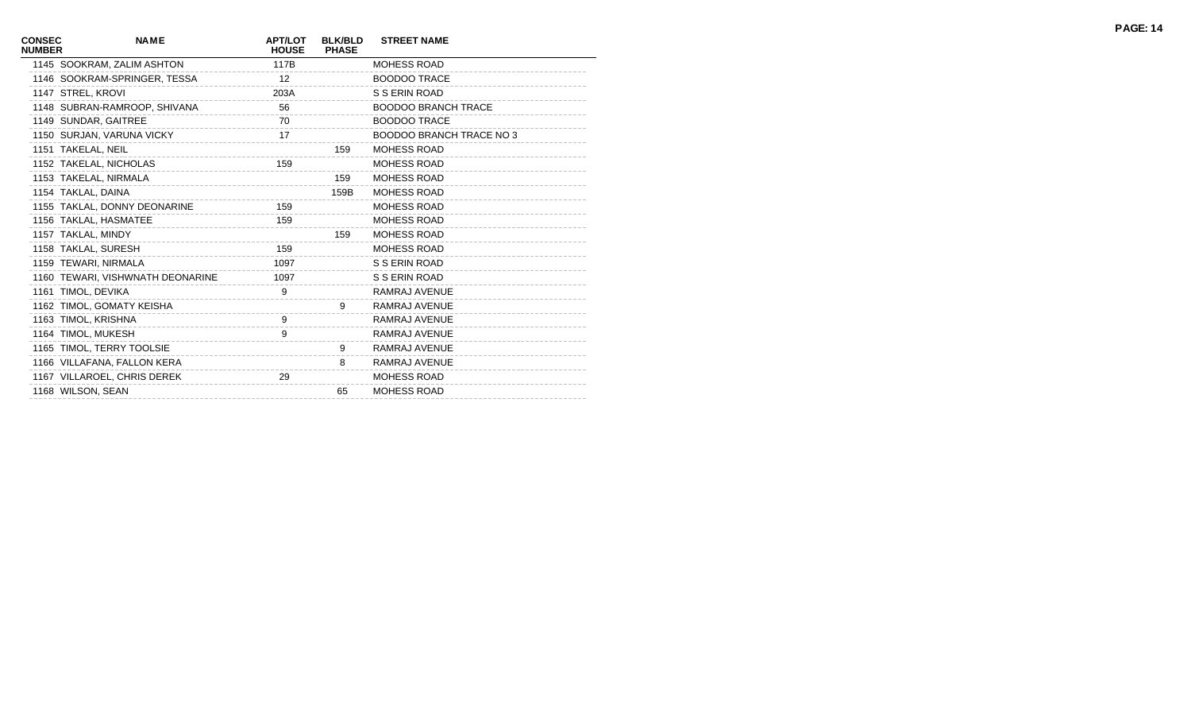| <b>CONSEC</b><br><b>NUMBER</b> | <b>NAME</b>                      | <b>APT/LOT</b><br><b>HOUSE</b> | <b>BLK/BLD</b><br><b>PHASE</b> | <b>STREET NAME</b>              |
|--------------------------------|----------------------------------|--------------------------------|--------------------------------|---------------------------------|
|                                | 1145 SOOKRAM, ZALIM ASHTON       | 117B                           |                                | <b>MOHESS ROAD</b>              |
|                                | 1146 SOOKRAM-SPRINGER, TESSA     | 12 <sup>°</sup>                |                                | <b>BOODOO TRACE</b>             |
|                                | 1147 STREL, KROVI                | 203A                           |                                | S S ERIN ROAD                   |
|                                | 1148 SUBRAN-RAMROOP, SHIVANA     | 56                             |                                | <b>BOODOO BRANCH TRACE</b>      |
|                                | 1149 SUNDAR, GAITREE             | 70                             |                                | <b>BOODOO TRACE</b>             |
|                                | 1150 SURJAN, VARUNA VICKY        | 17                             |                                | <b>BOODOO BRANCH TRACE NO 3</b> |
|                                | 1151 TAKELAL, NEIL               |                                | 159                            | <b>MOHESS ROAD</b>              |
|                                | 1152 TAKELAL, NICHOLAS           | 159                            |                                | <b>MOHESS ROAD</b>              |
|                                | 1153 TAKELAL, NIRMALA            |                                | 159                            | <b>MOHESS ROAD</b>              |
|                                | 1154 TAKLAL, DAINA               |                                | 159B                           | <b>MOHESS ROAD</b>              |
|                                | 1155 TAKLAL, DONNY DEONARINE     | 159                            |                                | MOHESS ROAD                     |
|                                | 1156 TAKLAL, HASMATEE            | 159                            |                                | <b>MOHESS ROAD</b>              |
|                                | 1157 TAKLAL, MINDY               |                                | 159                            | MOHESS ROAD                     |
|                                | 1158 TAKLAL, SURESH              | 159                            |                                | <b>MOHESS ROAD</b>              |
|                                | 1159 TEWARI, NIRMALA             | 1097                           |                                | S S ERIN ROAD                   |
|                                | 1160 TEWARI, VISHWNATH DEONARINE | 1097                           |                                | S S ERIN ROAD                   |
|                                | 1161 TIMOL, DEVIKA               | 9                              |                                | RAMRAJ AVENUE                   |
|                                | 1162 TIMOL, GOMATY KEISHA        |                                | 9                              | RAMRAJ AVENUE                   |
|                                | 1163 TIMOL, KRISHNA              | 9                              |                                | RAMRAJ AVENUE                   |
|                                | 1164 TIMOL, MUKESH               | 9                              |                                | RAMRAJ AVENUE                   |
|                                | 1165 TIMOL, TERRY TOOLSIE        |                                | 9                              | RAMRAJ AVENUE                   |
|                                | 1166 VILLAFANA, FALLON KERA      |                                | 8                              | RAMRAJ AVENUE                   |
|                                | 1167 VILLAROEL, CHRIS DEREK      | 29                             |                                | <b>MOHESS ROAD</b>              |
|                                | 1168 WILSON, SEAN                |                                | 65                             | MOHESS ROAD                     |
|                                |                                  |                                |                                |                                 |